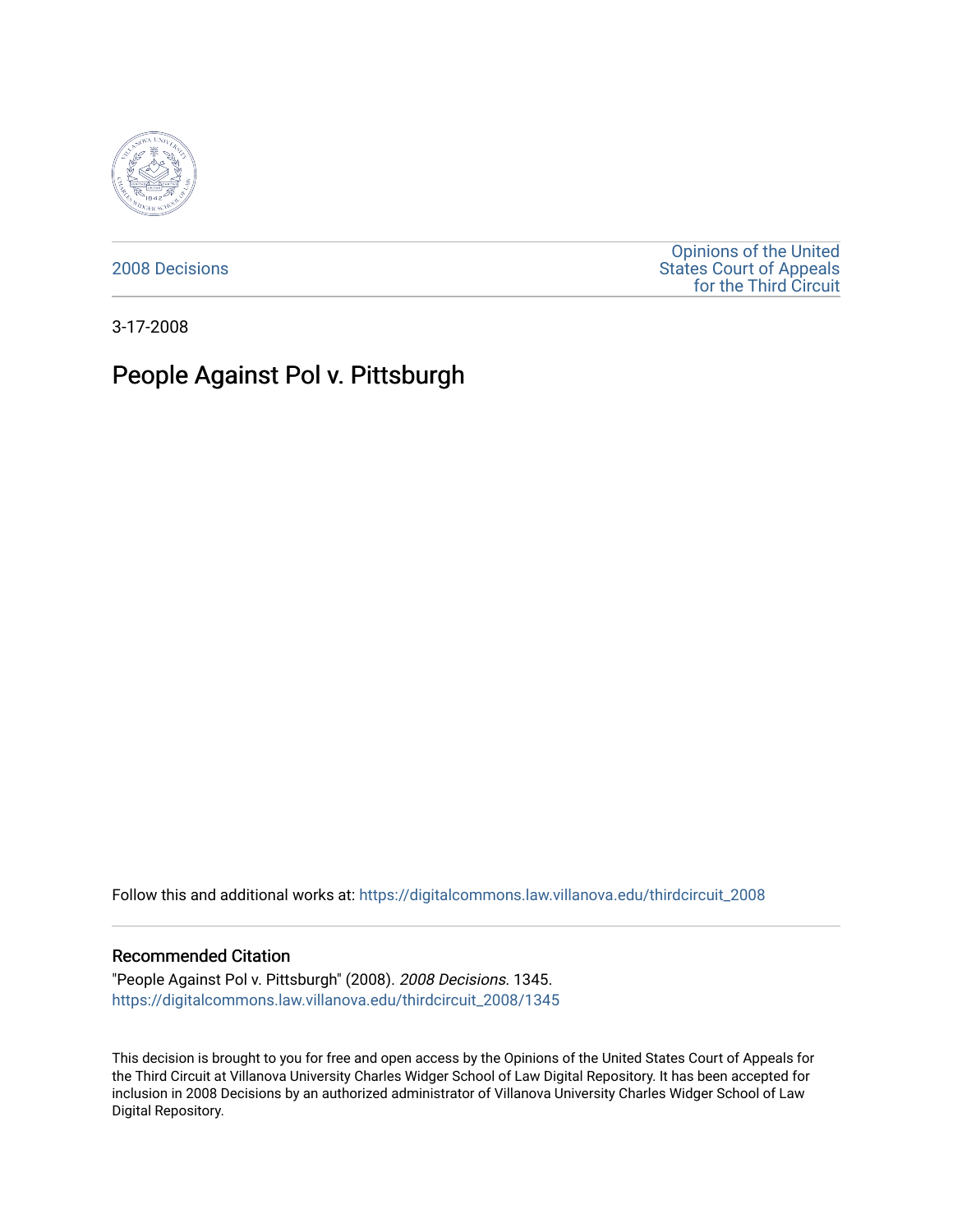

[2008 Decisions](https://digitalcommons.law.villanova.edu/thirdcircuit_2008)

[Opinions of the United](https://digitalcommons.law.villanova.edu/thirdcircuit)  [States Court of Appeals](https://digitalcommons.law.villanova.edu/thirdcircuit)  [for the Third Circuit](https://digitalcommons.law.villanova.edu/thirdcircuit) 

3-17-2008

# People Against Pol v. Pittsburgh

Follow this and additional works at: [https://digitalcommons.law.villanova.edu/thirdcircuit\\_2008](https://digitalcommons.law.villanova.edu/thirdcircuit_2008?utm_source=digitalcommons.law.villanova.edu%2Fthirdcircuit_2008%2F1345&utm_medium=PDF&utm_campaign=PDFCoverPages) 

#### Recommended Citation

"People Against Pol v. Pittsburgh" (2008). 2008 Decisions. 1345. [https://digitalcommons.law.villanova.edu/thirdcircuit\\_2008/1345](https://digitalcommons.law.villanova.edu/thirdcircuit_2008/1345?utm_source=digitalcommons.law.villanova.edu%2Fthirdcircuit_2008%2F1345&utm_medium=PDF&utm_campaign=PDFCoverPages) 

This decision is brought to you for free and open access by the Opinions of the United States Court of Appeals for the Third Circuit at Villanova University Charles Widger School of Law Digital Repository. It has been accepted for inclusion in 2008 Decisions by an authorized administrator of Villanova University Charles Widger School of Law Digital Repository.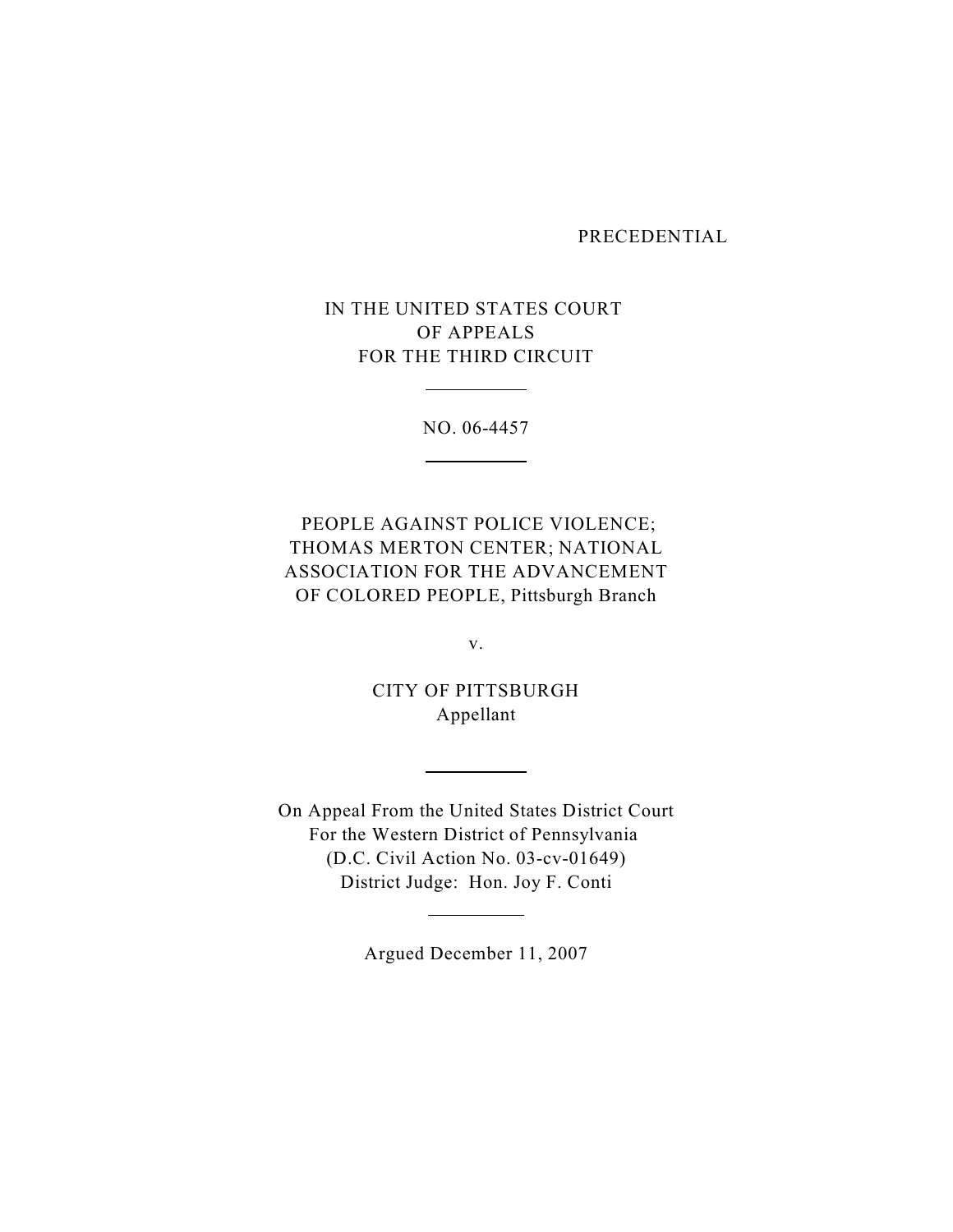#### PRECEDENTIAL

# IN THE UNITED STATES COURT OF APPEALS FOR THE THIRD CIRCUIT

 $\overline{a}$ 

 $\overline{a}$ 

NO. 06-4457

 PEOPLE AGAINST POLICE VIOLENCE; THOMAS MERTON CENTER; NATIONAL ASSOCIATION FOR THE ADVANCEMENT OF COLORED PEOPLE, Pittsburgh Branch

v.

CITY OF PITTSBURGH Appellant

 $\overline{a}$ 

 $\overline{a}$ 

On Appeal From the United States District Court For the Western District of Pennsylvania (D.C. Civil Action No. 03-cv-01649) District Judge: Hon. Joy F. Conti

Argued December 11, 2007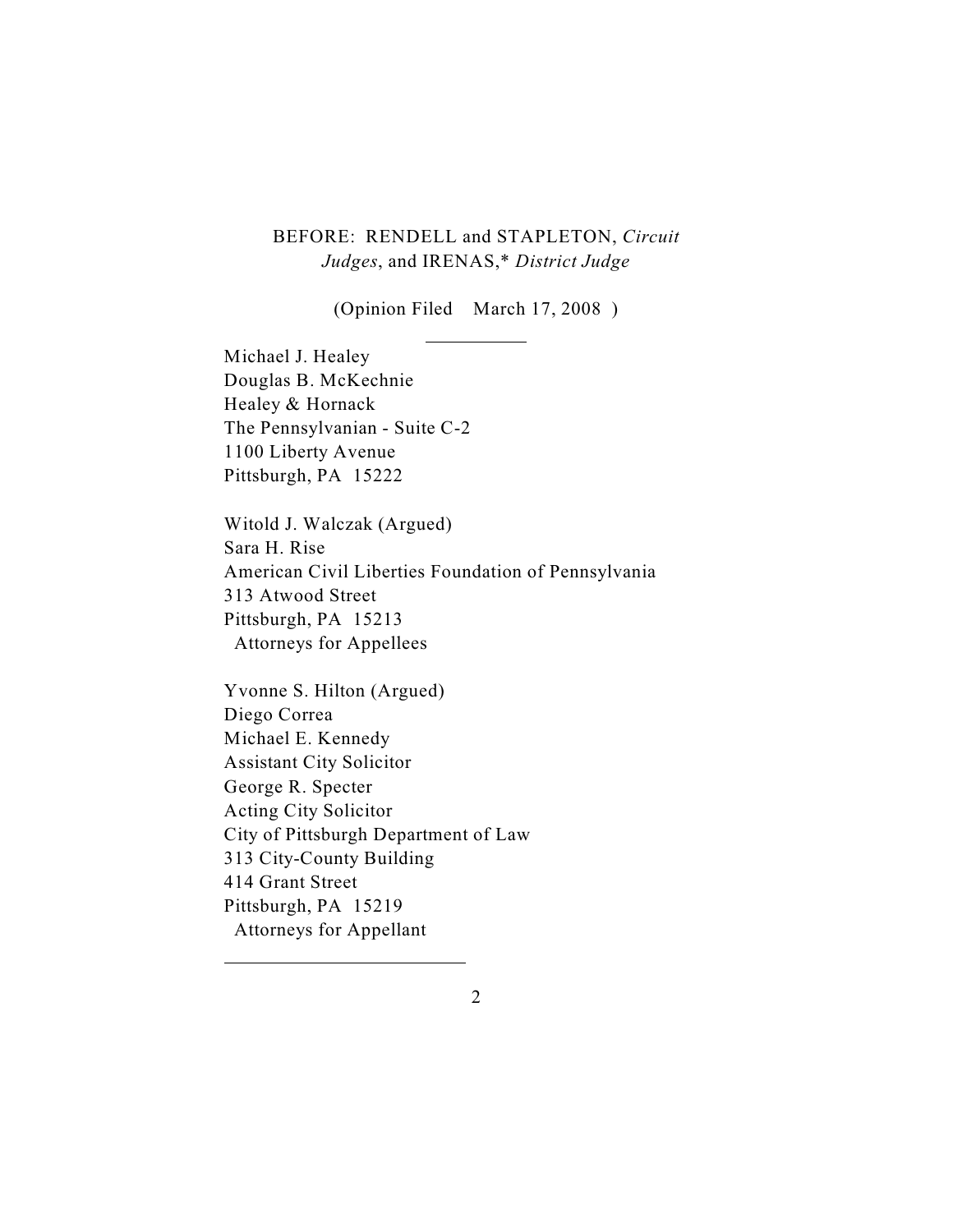## BEFORE: RENDELL and STAPLETON, *Circuit Judges*, and IRENAS,\* *District Judge*

(Opinion Filed March 17, 2008 )

 $\overline{a}$ 

Michael J. Healey Douglas B. McKechnie Healey & Hornack The Pennsylvanian - Suite C-2 1100 Liberty Avenue Pittsburgh, PA 15222

Witold J. Walczak (Argued) Sara H. Rise American Civil Liberties Foundation of Pennsylvania 313 Atwood Street Pittsburgh, PA 15213 Attorneys for Appellees

Yvonne S. Hilton (Argued) Diego Correa Michael E. Kennedy Assistant City Solicitor George R. Specter Acting City Solicitor City of Pittsburgh Department of Law 313 City-County Building 414 Grant Street Pittsburgh, PA 15219 Attorneys for Appellant

 $\overline{a}$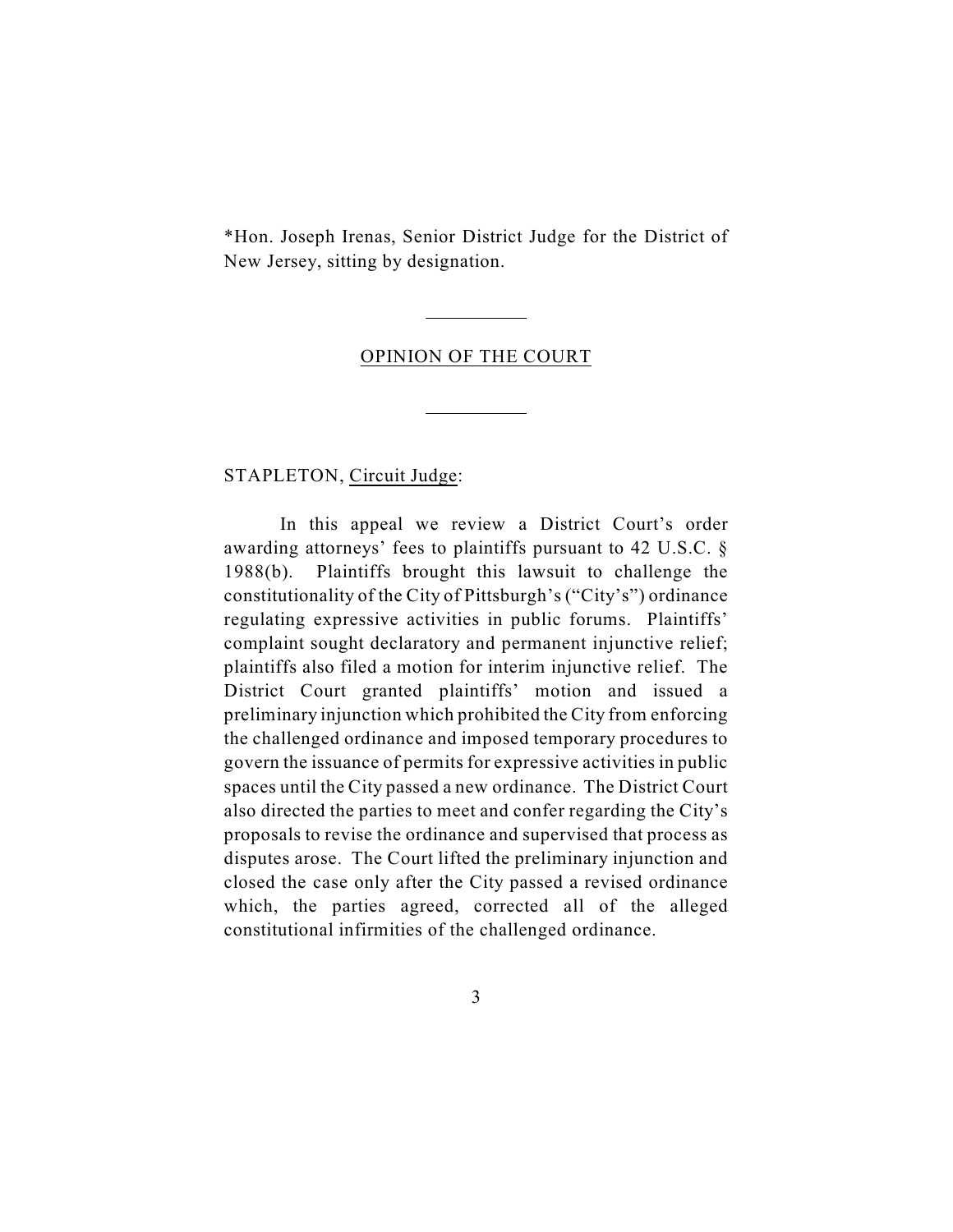\*Hon. Joseph Irenas, Senior District Judge for the District of New Jersey, sitting by designation.

#### OPINION OF THE COURT

 $\overline{a}$ 

 $\overline{a}$ 

STAPLETON, Circuit Judge:

In this appeal we review a District Court's order awarding attorneys' fees to plaintiffs pursuant to 42 U.S.C. § 1988(b). Plaintiffs brought this lawsuit to challenge the constitutionality of the City of Pittsburgh's ("City's") ordinance regulating expressive activities in public forums. Plaintiffs' complaint sought declaratory and permanent injunctive relief; plaintiffs also filed a motion for interim injunctive relief. The District Court granted plaintiffs' motion and issued a preliminary injunction which prohibited the City from enforcing the challenged ordinance and imposed temporary procedures to govern the issuance of permits for expressive activities in public spaces until the City passed a new ordinance. The District Court also directed the parties to meet and confer regarding the City's proposals to revise the ordinance and supervised that process as disputes arose. The Court lifted the preliminary injunction and closed the case only after the City passed a revised ordinance which, the parties agreed, corrected all of the alleged constitutional infirmities of the challenged ordinance.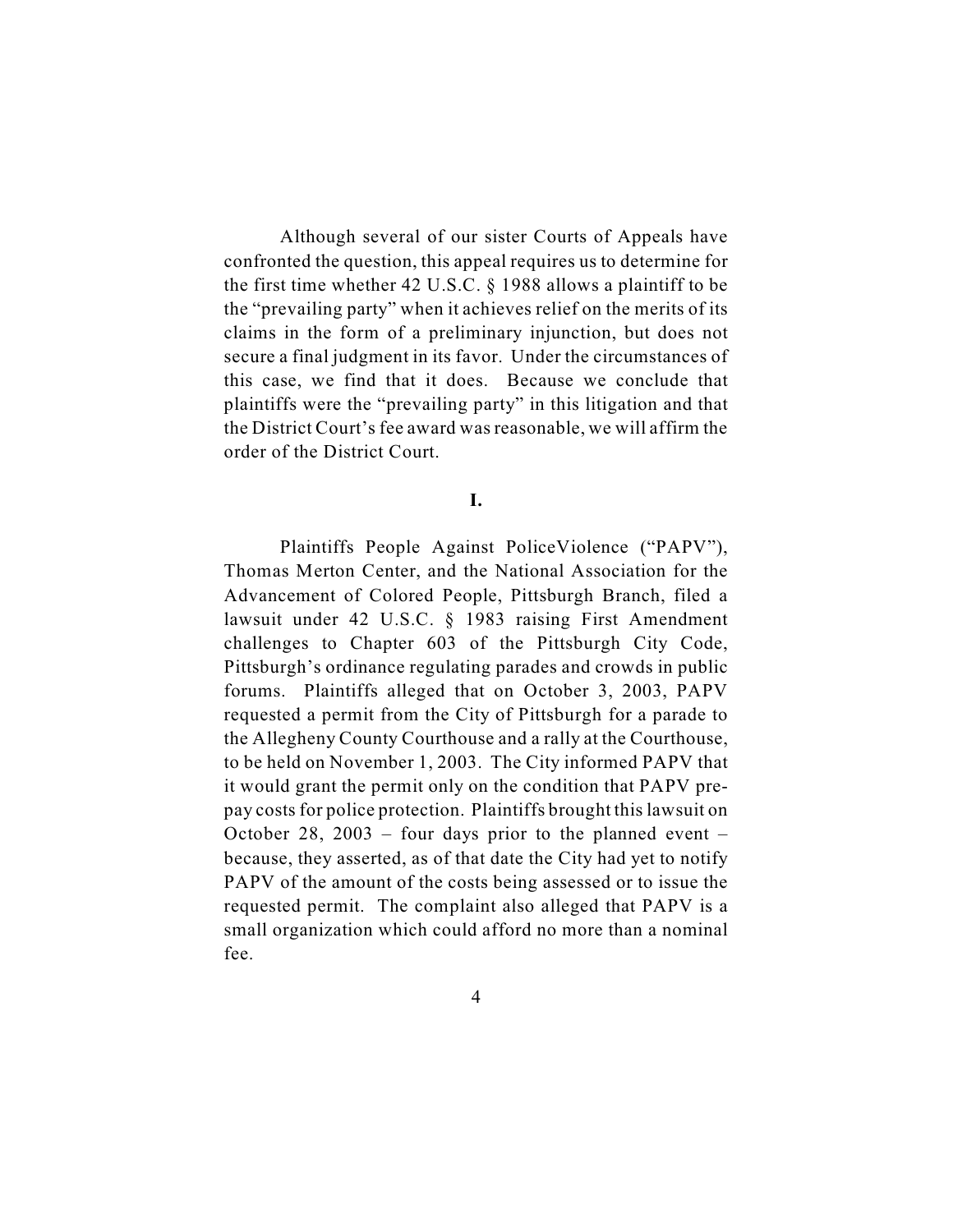Although several of our sister Courts of Appeals have confronted the question, this appeal requires us to determine for the first time whether 42 U.S.C. § 1988 allows a plaintiff to be the "prevailing party" when it achieves relief on the merits of its claims in the form of a preliminary injunction, but does not secure a final judgment in its favor. Under the circumstances of this case, we find that it does. Because we conclude that plaintiffs were the "prevailing party" in this litigation and that the District Court's fee award was reasonable, we will affirm the order of the District Court.

## **I.**

Plaintiffs People Against PoliceViolence ("PAPV"), Thomas Merton Center, and the National Association for the Advancement of Colored People, Pittsburgh Branch, filed a lawsuit under 42 U.S.C. § 1983 raising First Amendment challenges to Chapter 603 of the Pittsburgh City Code, Pittsburgh's ordinance regulating parades and crowds in public forums. Plaintiffs alleged that on October 3, 2003, PAPV requested a permit from the City of Pittsburgh for a parade to the Allegheny County Courthouse and a rally at the Courthouse, to be held on November 1, 2003. The City informed PAPV that it would grant the permit only on the condition that PAPV prepay costs for police protection. Plaintiffs brought this lawsuit on October 28, 2003 – four days prior to the planned event – because, they asserted, as of that date the City had yet to notify PAPV of the amount of the costs being assessed or to issue the requested permit. The complaint also alleged that PAPV is a small organization which could afford no more than a nominal fee.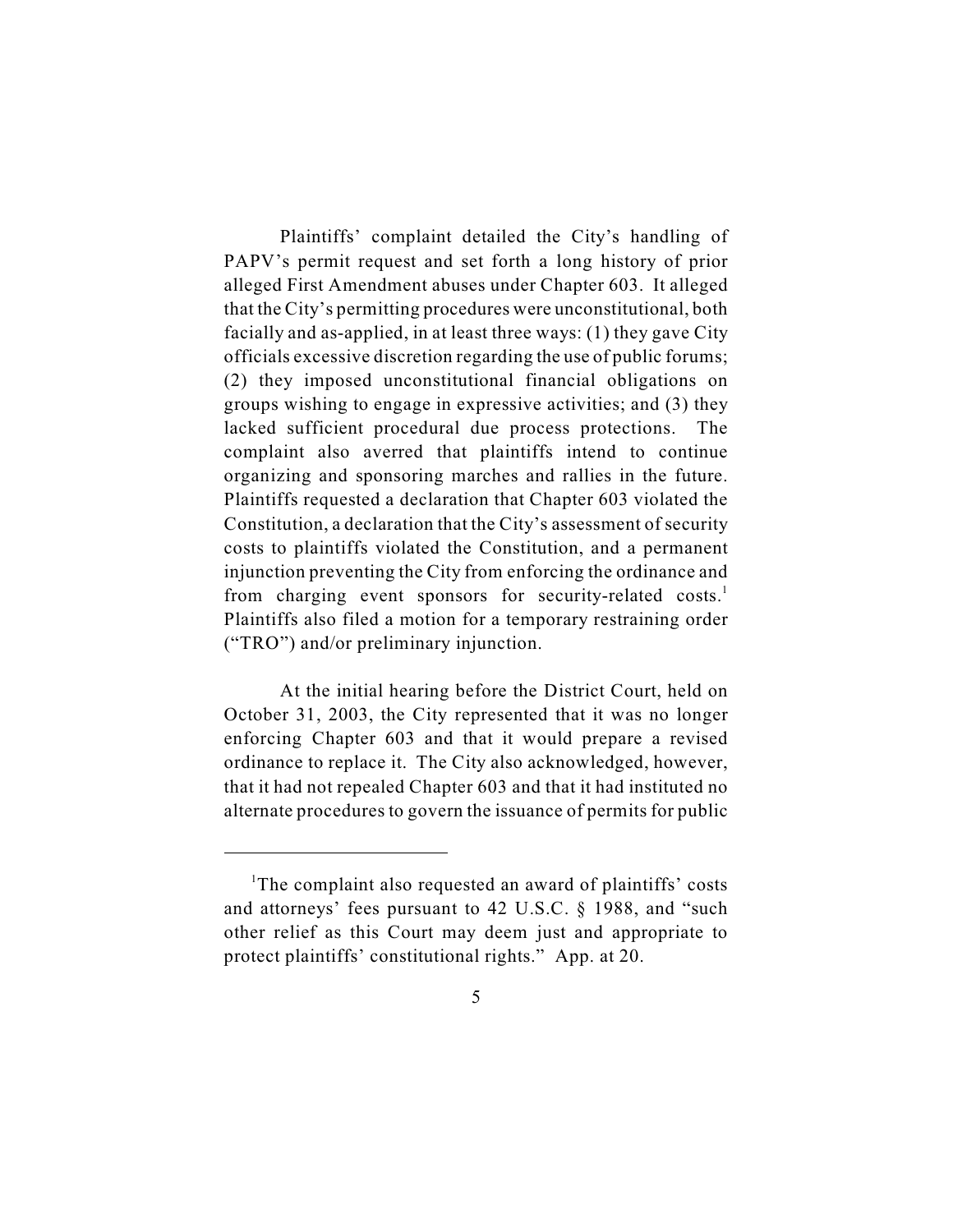Plaintiffs' complaint detailed the City's handling of PAPV's permit request and set forth a long history of prior alleged First Amendment abuses under Chapter 603. It alleged that the City's permitting procedures were unconstitutional, both facially and as-applied, in at least three ways: (1) they gave City officials excessive discretion regarding the use of public forums; (2) they imposed unconstitutional financial obligations on groups wishing to engage in expressive activities; and (3) they lacked sufficient procedural due process protections. The complaint also averred that plaintiffs intend to continue organizing and sponsoring marches and rallies in the future. Plaintiffs requested a declaration that Chapter 603 violated the Constitution, a declaration that the City's assessment of security costs to plaintiffs violated the Constitution, and a permanent injunction preventing the City from enforcing the ordinance and from charging event sponsors for security-related costs.<sup>1</sup> Plaintiffs also filed a motion for a temporary restraining order ("TRO") and/or preliminary injunction.

At the initial hearing before the District Court, held on October 31, 2003, the City represented that it was no longer enforcing Chapter 603 and that it would prepare a revised ordinance to replace it. The City also acknowledged, however, that it had not repealed Chapter 603 and that it had instituted no alternate procedures to govern the issuance of permits for public

<sup>&</sup>lt;sup>1</sup>The complaint also requested an award of plaintiffs' costs and attorneys' fees pursuant to 42 U.S.C. § 1988, and "such other relief as this Court may deem just and appropriate to protect plaintiffs' constitutional rights." App. at 20.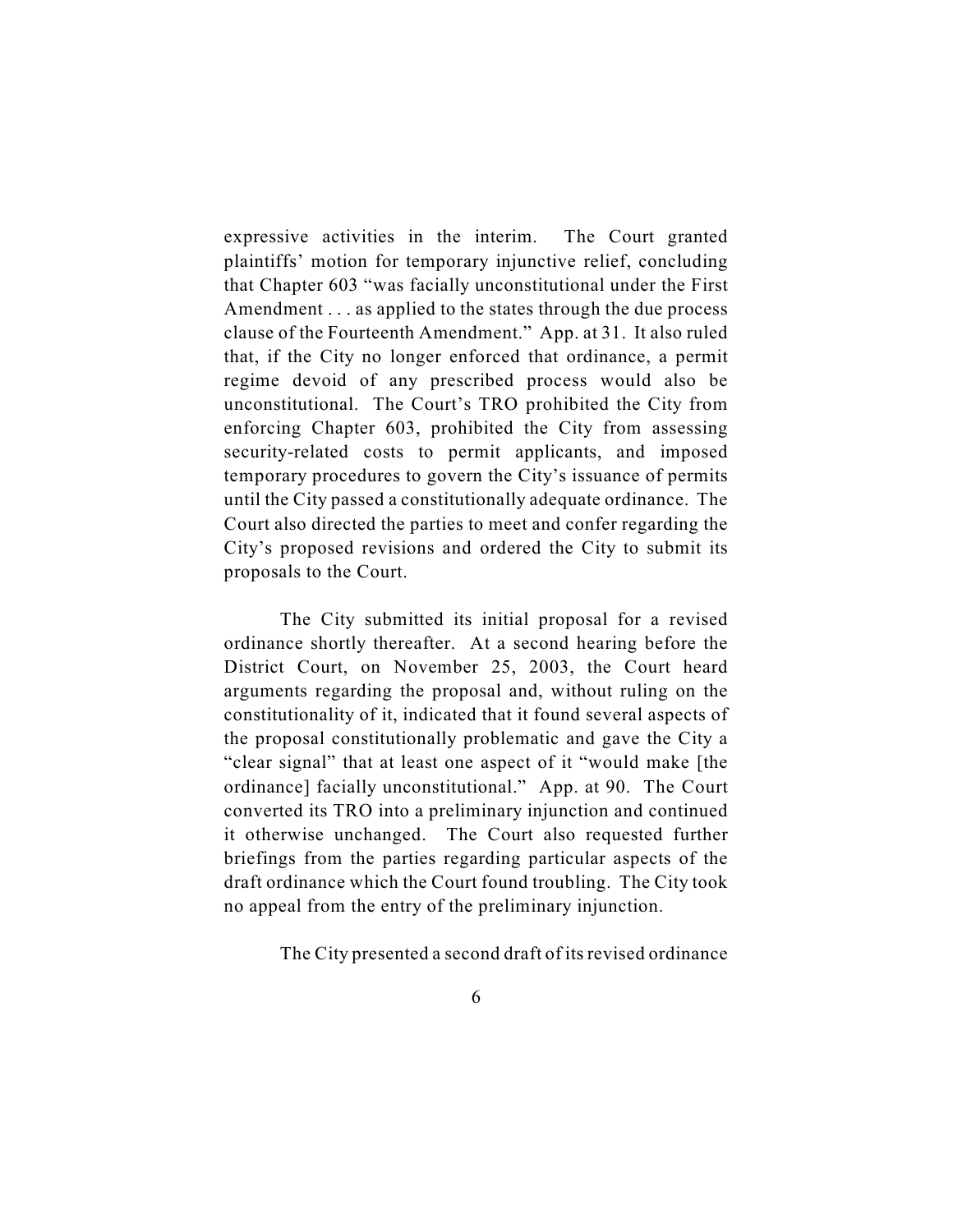expressive activities in the interim. The Court granted plaintiffs' motion for temporary injunctive relief, concluding that Chapter 603 "was facially unconstitutional under the First Amendment . . . as applied to the states through the due process clause of the Fourteenth Amendment." App. at 31. It also ruled that, if the City no longer enforced that ordinance, a permit regime devoid of any prescribed process would also be unconstitutional. The Court's TRO prohibited the City from enforcing Chapter 603, prohibited the City from assessing security-related costs to permit applicants, and imposed temporary procedures to govern the City's issuance of permits until the City passed a constitutionally adequate ordinance. The Court also directed the parties to meet and confer regarding the City's proposed revisions and ordered the City to submit its proposals to the Court.

The City submitted its initial proposal for a revised ordinance shortly thereafter. At a second hearing before the District Court, on November 25, 2003, the Court heard arguments regarding the proposal and, without ruling on the constitutionality of it, indicated that it found several aspects of the proposal constitutionally problematic and gave the City a "clear signal" that at least one aspect of it "would make [the ordinance] facially unconstitutional." App. at 90. The Court converted its TRO into a preliminary injunction and continued it otherwise unchanged. The Court also requested further briefings from the parties regarding particular aspects of the draft ordinance which the Court found troubling. The City took no appeal from the entry of the preliminary injunction.

The City presented a second draft of its revised ordinance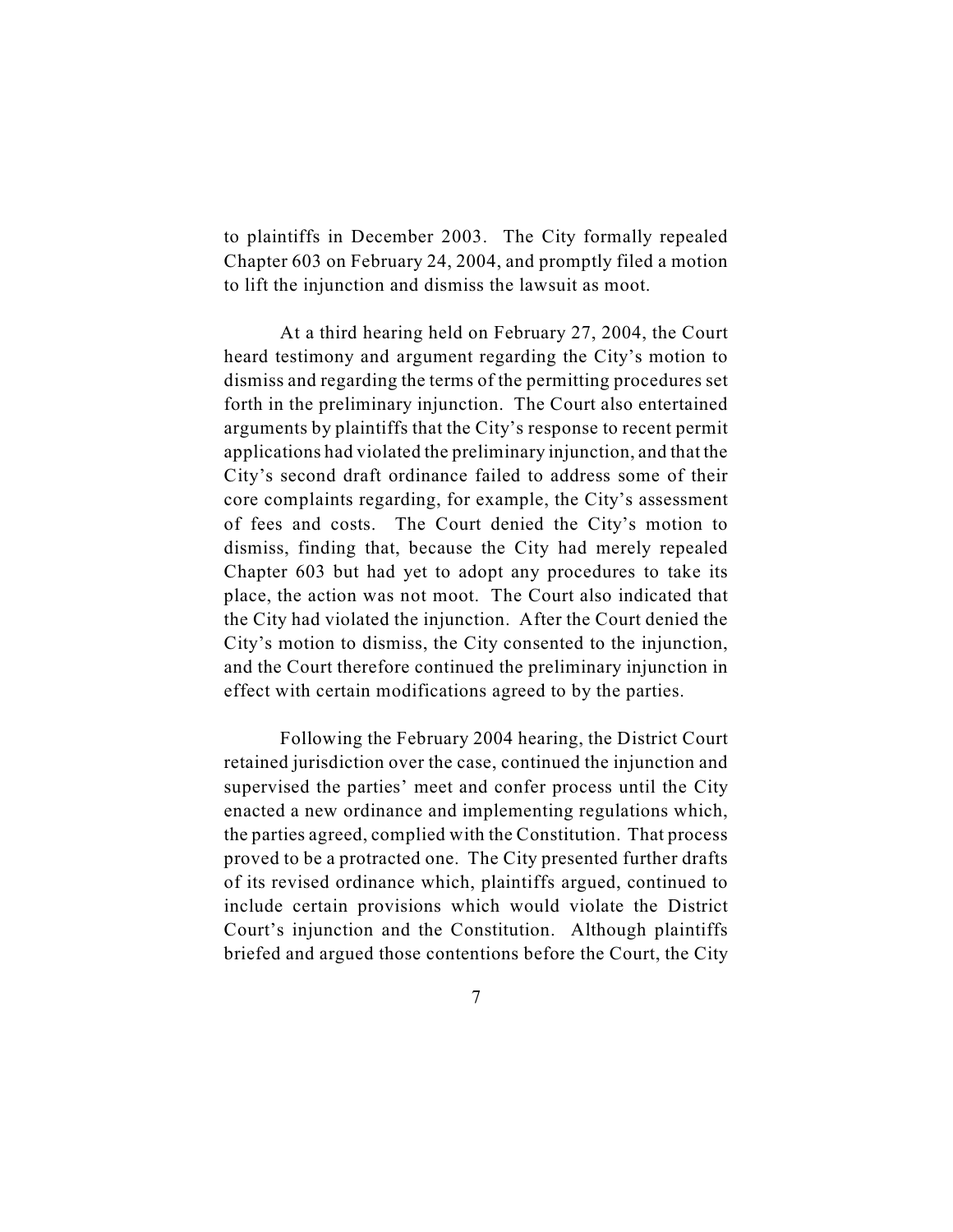to plaintiffs in December 2003. The City formally repealed Chapter 603 on February 24, 2004, and promptly filed a motion to lift the injunction and dismiss the lawsuit as moot.

At a third hearing held on February 27, 2004, the Court heard testimony and argument regarding the City's motion to dismiss and regarding the terms of the permitting procedures set forth in the preliminary injunction. The Court also entertained arguments by plaintiffs that the City's response to recent permit applications had violated the preliminary injunction, and that the City's second draft ordinance failed to address some of their core complaints regarding, for example, the City's assessment of fees and costs. The Court denied the City's motion to dismiss, finding that, because the City had merely repealed Chapter 603 but had yet to adopt any procedures to take its place, the action was not moot. The Court also indicated that the City had violated the injunction. After the Court denied the City's motion to dismiss, the City consented to the injunction, and the Court therefore continued the preliminary injunction in effect with certain modifications agreed to by the parties.

Following the February 2004 hearing, the District Court retained jurisdiction over the case, continued the injunction and supervised the parties' meet and confer process until the City enacted a new ordinance and implementing regulations which, the parties agreed, complied with the Constitution. That process proved to be a protracted one. The City presented further drafts of its revised ordinance which, plaintiffs argued, continued to include certain provisions which would violate the District Court's injunction and the Constitution. Although plaintiffs briefed and argued those contentions before the Court, the City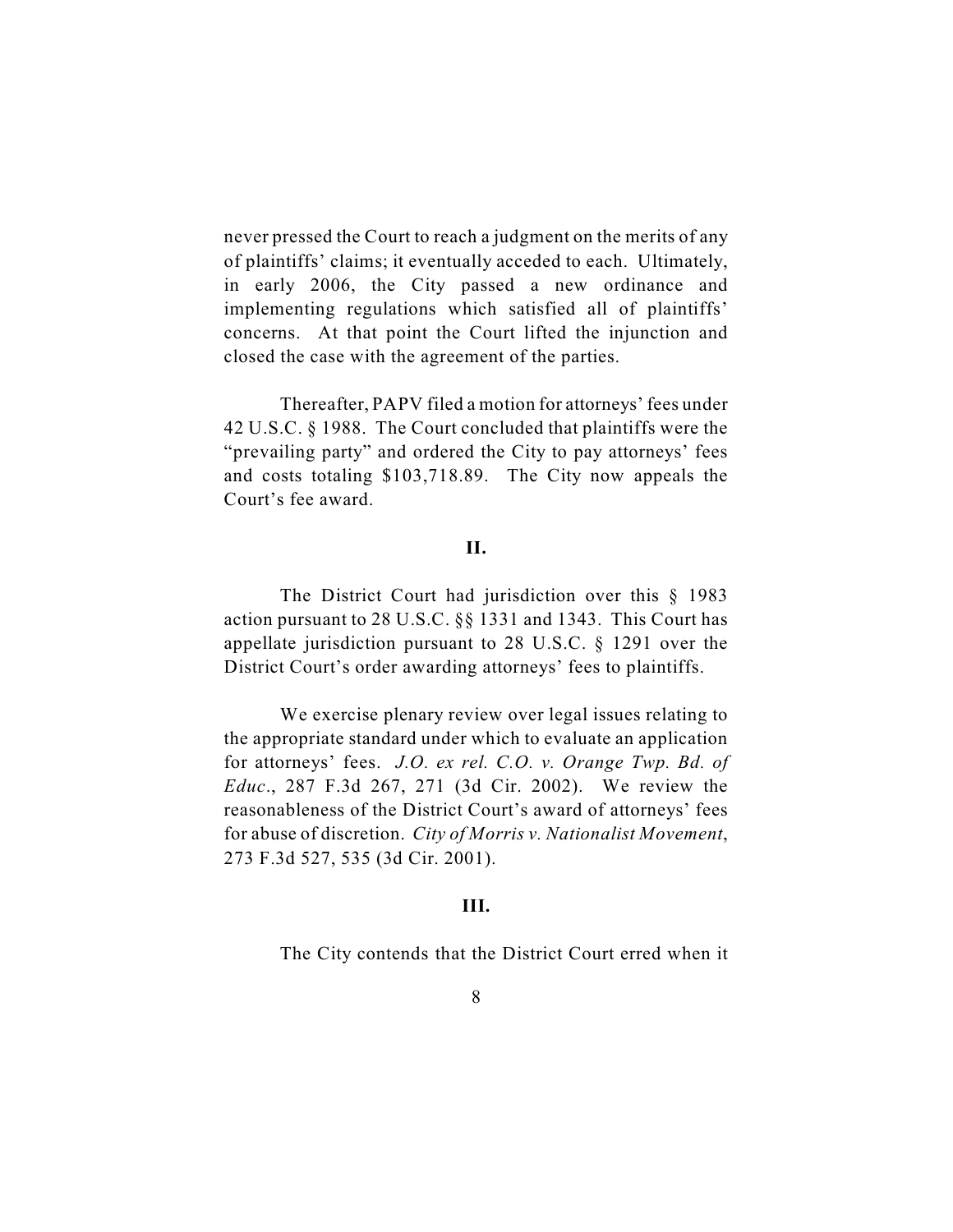never pressed the Court to reach a judgment on the merits of any of plaintiffs' claims; it eventually acceded to each. Ultimately, in early 2006, the City passed a new ordinance and implementing regulations which satisfied all of plaintiffs' concerns. At that point the Court lifted the injunction and closed the case with the agreement of the parties.

Thereafter, PAPV filed a motion for attorneys' fees under 42 U.S.C. § 1988. The Court concluded that plaintiffs were the "prevailing party" and ordered the City to pay attorneys' fees and costs totaling \$103,718.89. The City now appeals the Court's fee award.

## **II.**

The District Court had jurisdiction over this § 1983 action pursuant to 28 U.S.C. §§ 1331 and 1343. This Court has appellate jurisdiction pursuant to 28 U.S.C. § 1291 over the District Court's order awarding attorneys' fees to plaintiffs.

We exercise plenary review over legal issues relating to the appropriate standard under which to evaluate an application for attorneys' fees. *J.O. ex rel. C.O. v. Orange Twp. Bd. of Educ*., 287 F.3d 267, 271 (3d Cir. 2002). We review the reasonableness of the District Court's award of attorneys' fees for abuse of discretion. *City of Morris v. Nationalist Movement*, 273 F.3d 527, 535 (3d Cir. 2001).

#### **III.**

The City contends that the District Court erred when it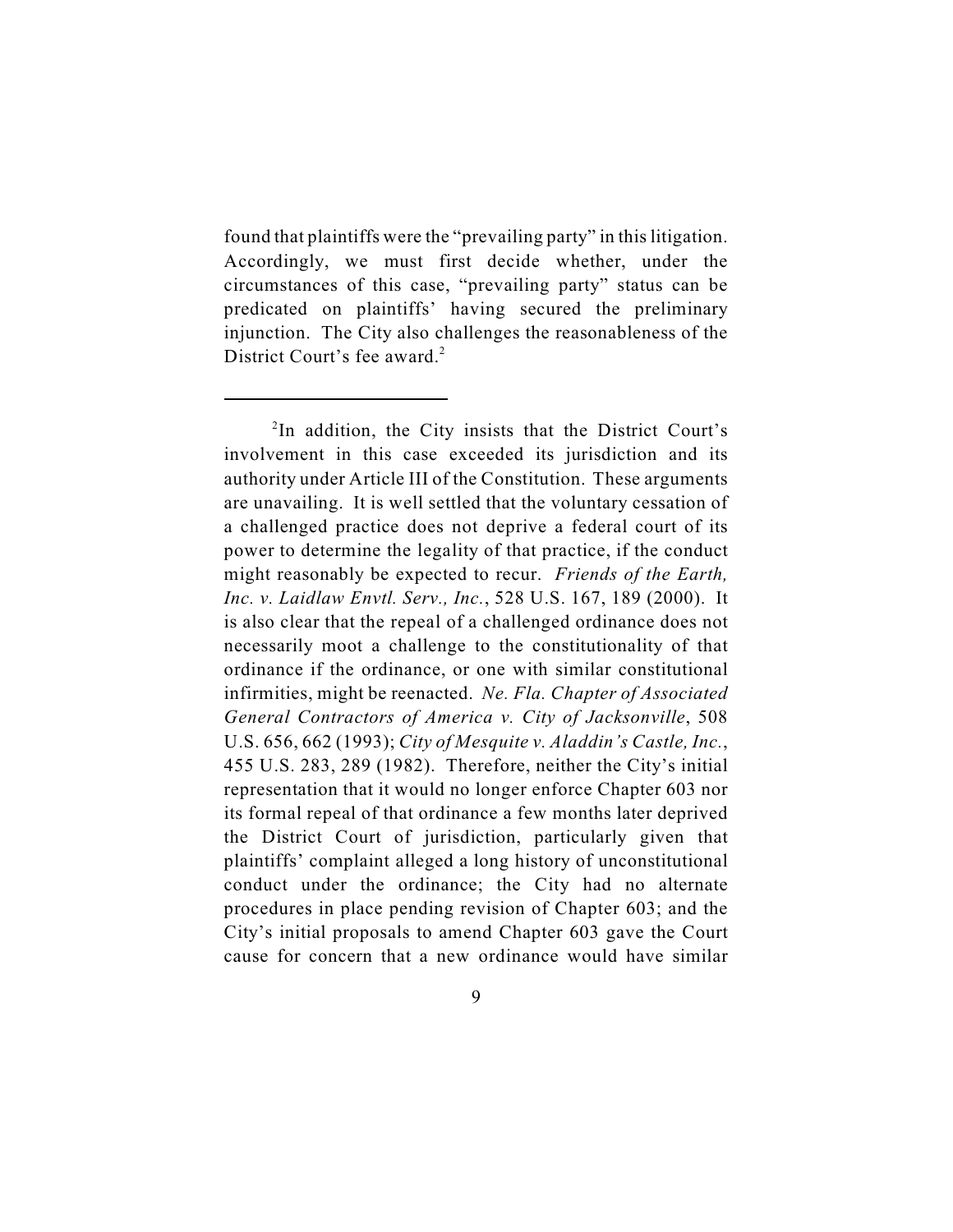found that plaintiffs were the "prevailing party" in this litigation. Accordingly, we must first decide whether, under the circumstances of this case, "prevailing party" status can be predicated on plaintiffs' having secured the preliminary injunction. The City also challenges the reasonableness of the District Court's fee award.<sup>2</sup>

 $2$ In addition, the City insists that the District Court's involvement in this case exceeded its jurisdiction and its authority under Article III of the Constitution. These arguments are unavailing. It is well settled that the voluntary cessation of a challenged practice does not deprive a federal court of its power to determine the legality of that practice, if the conduct might reasonably be expected to recur. *Friends of the Earth, Inc. v. Laidlaw Envtl. Serv., Inc.*, 528 U.S. 167, 189 (2000). It is also clear that the repeal of a challenged ordinance does not necessarily moot a challenge to the constitutionality of that ordinance if the ordinance, or one with similar constitutional infirmities, might be reenacted. *Ne. Fla. Chapter of Associated General Contractors of America v. City of Jacksonville*, 508 U.S. 656, 662 (1993); *City of Mesquite v. Aladdin's Castle, Inc.*, 455 U.S. 283, 289 (1982). Therefore, neither the City's initial representation that it would no longer enforce Chapter 603 nor its formal repeal of that ordinance a few months later deprived the District Court of jurisdiction, particularly given that plaintiffs' complaint alleged a long history of unconstitutional conduct under the ordinance; the City had no alternate procedures in place pending revision of Chapter 603; and the City's initial proposals to amend Chapter 603 gave the Court cause for concern that a new ordinance would have similar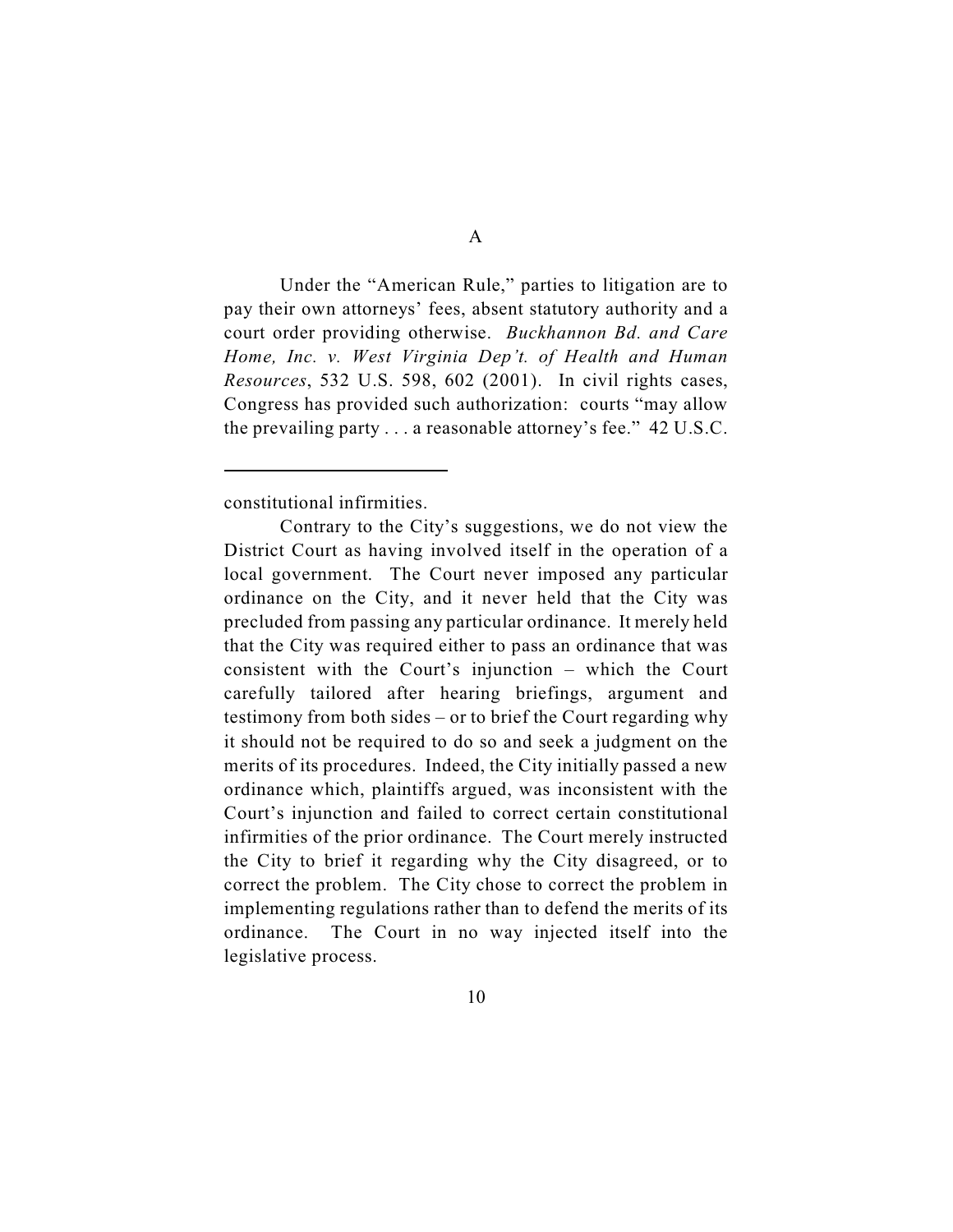Under the "American Rule," parties to litigation are to pay their own attorneys' fees, absent statutory authority and a court order providing otherwise. *Buckhannon Bd. and Care Home, Inc. v. West Virginia Dep't. of Health and Human Resources*, 532 U.S. 598, 602 (2001). In civil rights cases, Congress has provided such authorization: courts "may allow the prevailing party . . . a reasonable attorney's fee." 42 U.S.C.

constitutional infirmities.

Contrary to the City's suggestions, we do not view the District Court as having involved itself in the operation of a local government. The Court never imposed any particular ordinance on the City, and it never held that the City was precluded from passing any particular ordinance. It merely held that the City was required either to pass an ordinance that was consistent with the Court's injunction – which the Court carefully tailored after hearing briefings, argument and testimony from both sides – or to brief the Court regarding why it should not be required to do so and seek a judgment on the merits of its procedures. Indeed, the City initially passed a new ordinance which, plaintiffs argued, was inconsistent with the Court's injunction and failed to correct certain constitutional infirmities of the prior ordinance. The Court merely instructed the City to brief it regarding why the City disagreed, or to correct the problem. The City chose to correct the problem in implementing regulations rather than to defend the merits of its ordinance. The Court in no way injected itself into the legislative process.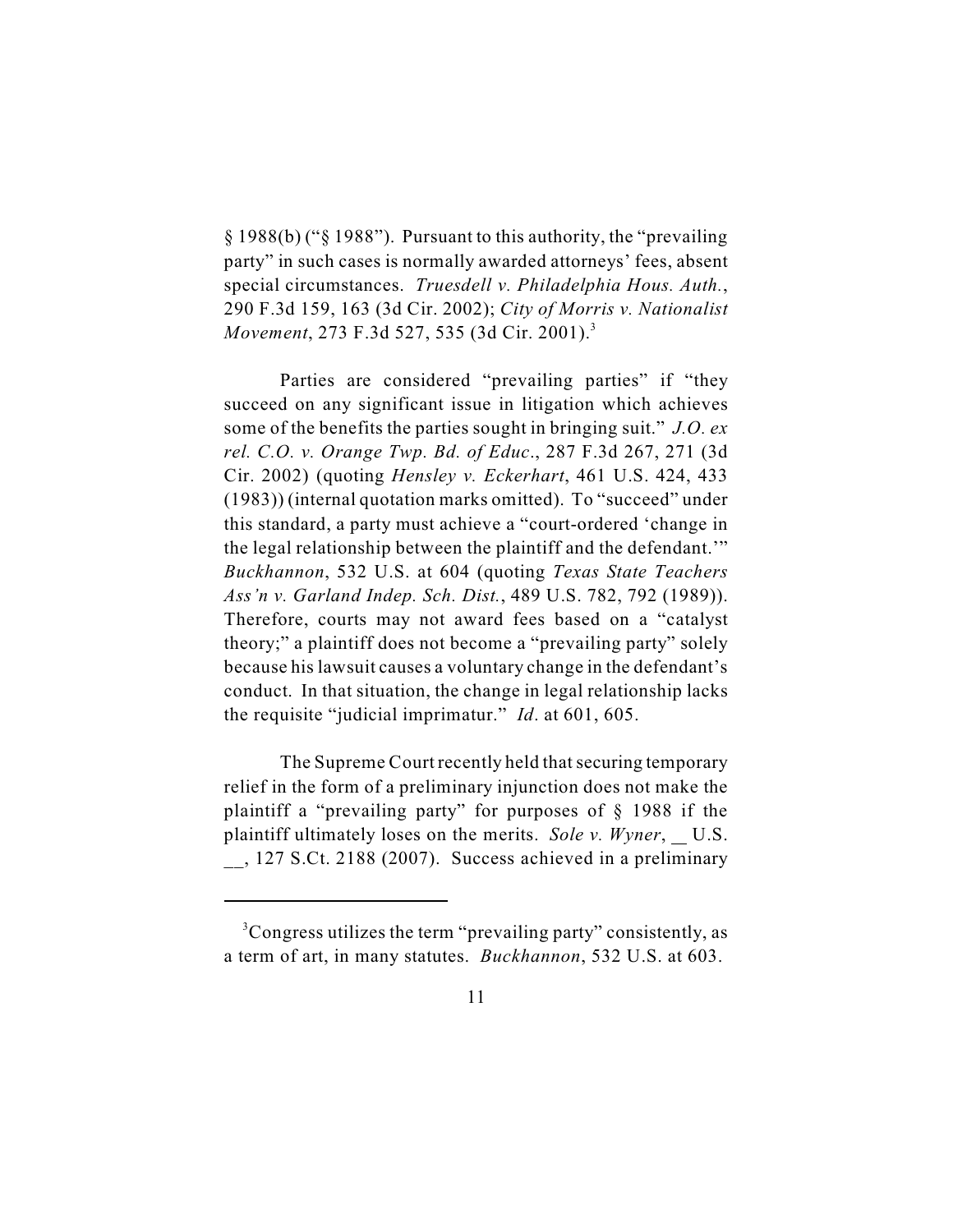§ 1988(b) ("§ 1988"). Pursuant to this authority, the "prevailing party" in such cases is normally awarded attorneys' fees, absent special circumstances. *Truesdell v. Philadelphia Hous. Auth.*, 290 F.3d 159, 163 (3d Cir. 2002); *City of Morris v. Nationalist Movement*, 273 F.3d 527, 535 (3d Cir. 2001).<sup>3</sup>

Parties are considered "prevailing parties" if "they succeed on any significant issue in litigation which achieves some of the benefits the parties sought in bringing suit." *J.O. ex rel. C.O. v. Orange Twp. Bd. of Educ*., 287 F.3d 267, 271 (3d Cir. 2002) (quoting *Hensley v. Eckerhart*, 461 U.S. 424, 433 (1983)) (internal quotation marks omitted). To "succeed" under this standard, a party must achieve a "court-ordered 'change in the legal relationship between the plaintiff and the defendant.'" *Buckhannon*, 532 U.S. at 604 (quoting *Texas State Teachers Ass'n v. Garland Indep. Sch. Dist.*, 489 U.S. 782, 792 (1989)). Therefore, courts may not award fees based on a "catalyst theory;" a plaintiff does not become a "prevailing party" solely because his lawsuit causes a voluntary change in the defendant's conduct. In that situation, the change in legal relationship lacks the requisite "judicial imprimatur." *Id*. at 601, 605.

The Supreme Court recently held that securing temporary relief in the form of a preliminary injunction does not make the plaintiff a "prevailing party" for purposes of § 1988 if the plaintiff ultimately loses on the merits. *Sole v. Wyner*, U.S. \_\_, 127 S.Ct. 2188 (2007). Success achieved in a preliminary

<sup>&</sup>lt;sup>3</sup>Congress utilizes the term "prevailing party" consistently, as a term of art, in many statutes. *Buckhannon*, 532 U.S. at 603.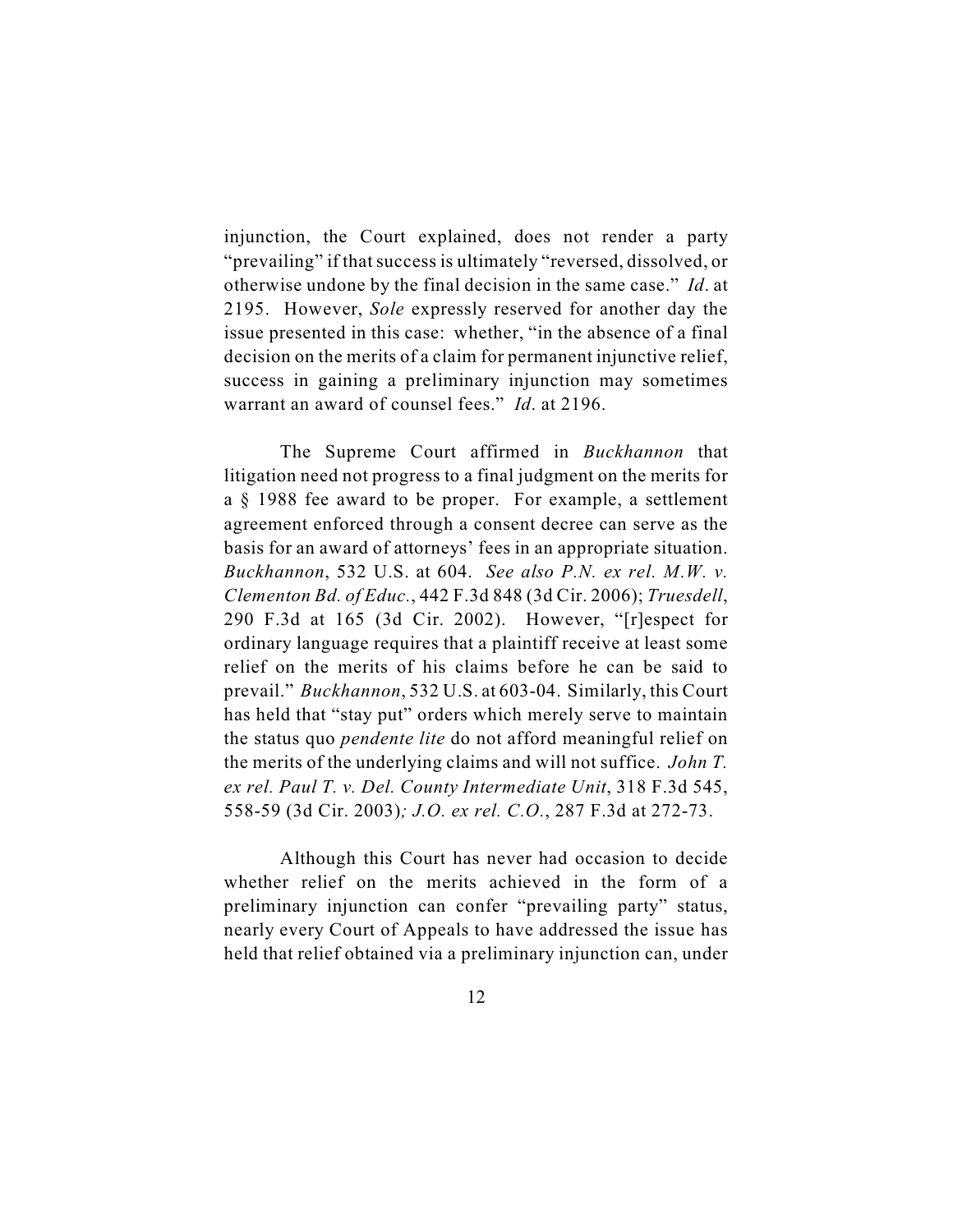injunction, the Court explained, does not render a party "prevailing" if that success is ultimately "reversed, dissolved, or otherwise undone by the final decision in the same case." *Id*. at 2195. However, *Sole* expressly reserved for another day the issue presented in this case: whether, "in the absence of a final decision on the merits of a claim for permanent injunctive relief, success in gaining a preliminary injunction may sometimes warrant an award of counsel fees." *Id*. at 2196.

The Supreme Court affirmed in *Buckhannon* that litigation need not progress to a final judgment on the merits for a § 1988 fee award to be proper. For example, a settlement agreement enforced through a consent decree can serve as the basis for an award of attorneys' fees in an appropriate situation. *Buckhannon*, 532 U.S. at 604. *See also P.N. ex rel. M.W. v. Clementon Bd. of Educ.*, 442 F.3d 848 (3d Cir. 2006); *Truesdell*, 290 F.3d at 165 (3d Cir. 2002). However, "[r]espect for ordinary language requires that a plaintiff receive at least some relief on the merits of his claims before he can be said to prevail." *Buckhannon*, 532 U.S. at 603-04. Similarly, this Court has held that "stay put" orders which merely serve to maintain the status quo *pendente lite* do not afford meaningful relief on the merits of the underlying claims and will not suffice. *John T. ex rel. Paul T. v. Del. County Intermediate Unit*, 318 F.3d 545, 558-59 (3d Cir. 2003)*; J.O. ex rel. C.O.*, 287 F.3d at 272-73.

Although this Court has never had occasion to decide whether relief on the merits achieved in the form of a preliminary injunction can confer "prevailing party" status, nearly every Court of Appeals to have addressed the issue has held that relief obtained via a preliminary injunction can, under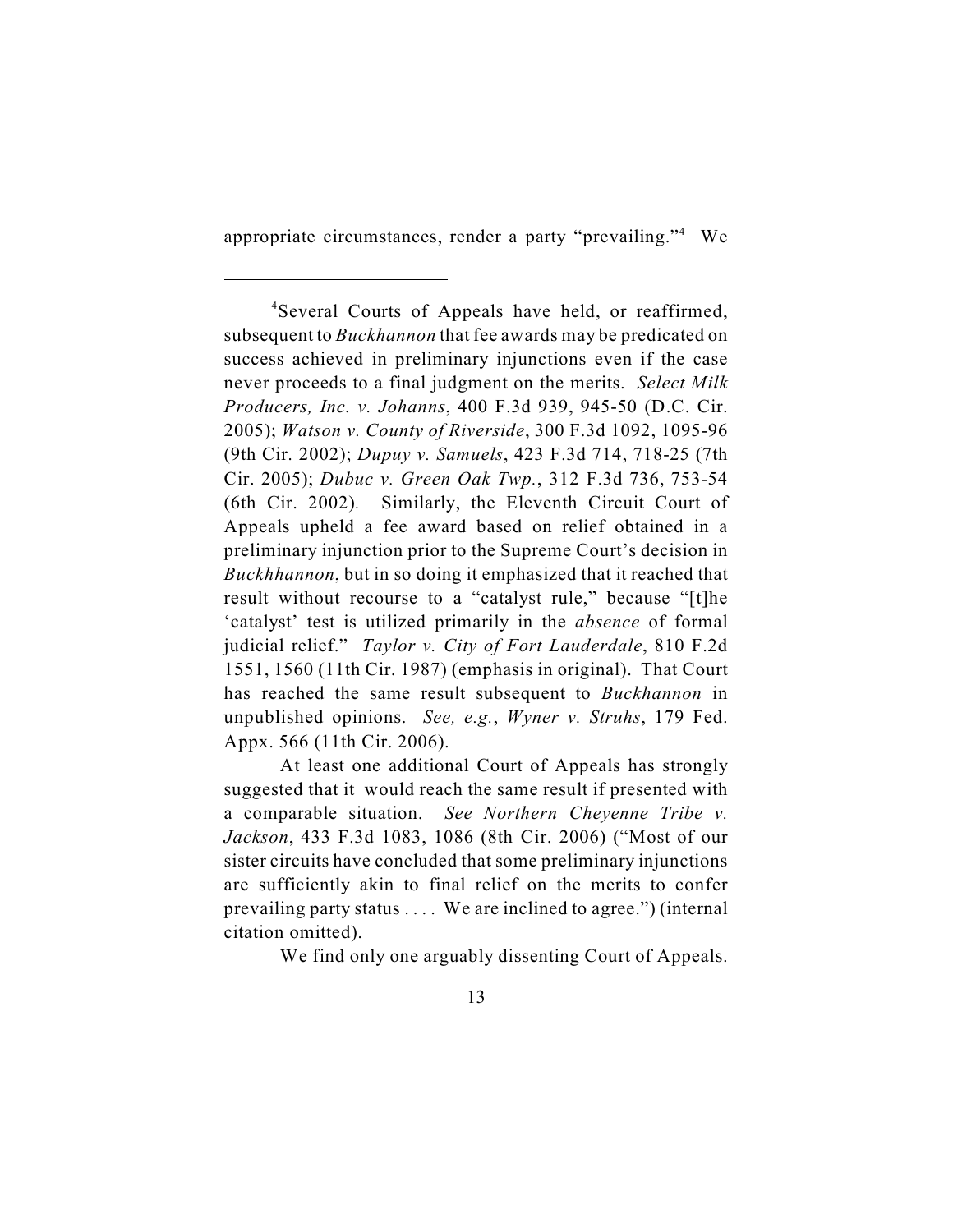appropriate circumstances, render a party "prevailing."<sup>4</sup> We

At least one additional Court of Appeals has strongly suggested that it would reach the same result if presented with a comparable situation. *See Northern Cheyenne Tribe v. Jackson*, 433 F.3d 1083, 1086 (8th Cir. 2006) ("Most of our sister circuits have concluded that some preliminary injunctions are sufficiently akin to final relief on the merits to confer prevailing party status . . . . We are inclined to agree.") (internal citation omitted).

We find only one arguably dissenting Court of Appeals.

<sup>&</sup>lt;sup>4</sup>Several Courts of Appeals have held, or reaffirmed, subsequent to *Buckhannon* that fee awards may be predicated on success achieved in preliminary injunctions even if the case never proceeds to a final judgment on the merits. *Select Milk Producers, Inc. v. Johanns*, 400 F.3d 939, 945-50 (D.C. Cir. 2005); *Watson v. County of Riverside*, 300 F.3d 1092, 1095-96 (9th Cir. 2002); *Dupuy v. Samuels*, 423 F.3d 714, 718-25 (7th Cir. 2005); *Dubuc v. Green Oak Twp.*, 312 F.3d 736, 753-54 (6th Cir. 2002)*.* Similarly, the Eleventh Circuit Court of Appeals upheld a fee award based on relief obtained in a preliminary injunction prior to the Supreme Court's decision in *Buckhhannon*, but in so doing it emphasized that it reached that result without recourse to a "catalyst rule," because "[t]he 'catalyst' test is utilized primarily in the *absence* of formal judicial relief." *Taylor v. City of Fort Lauderdale*, 810 F.2d 1551, 1560 (11th Cir. 1987) (emphasis in original). That Court has reached the same result subsequent to *Buckhannon* in unpublished opinions. *See, e.g.*, *Wyner v. Struhs*, 179 Fed. Appx. 566 (11th Cir. 2006).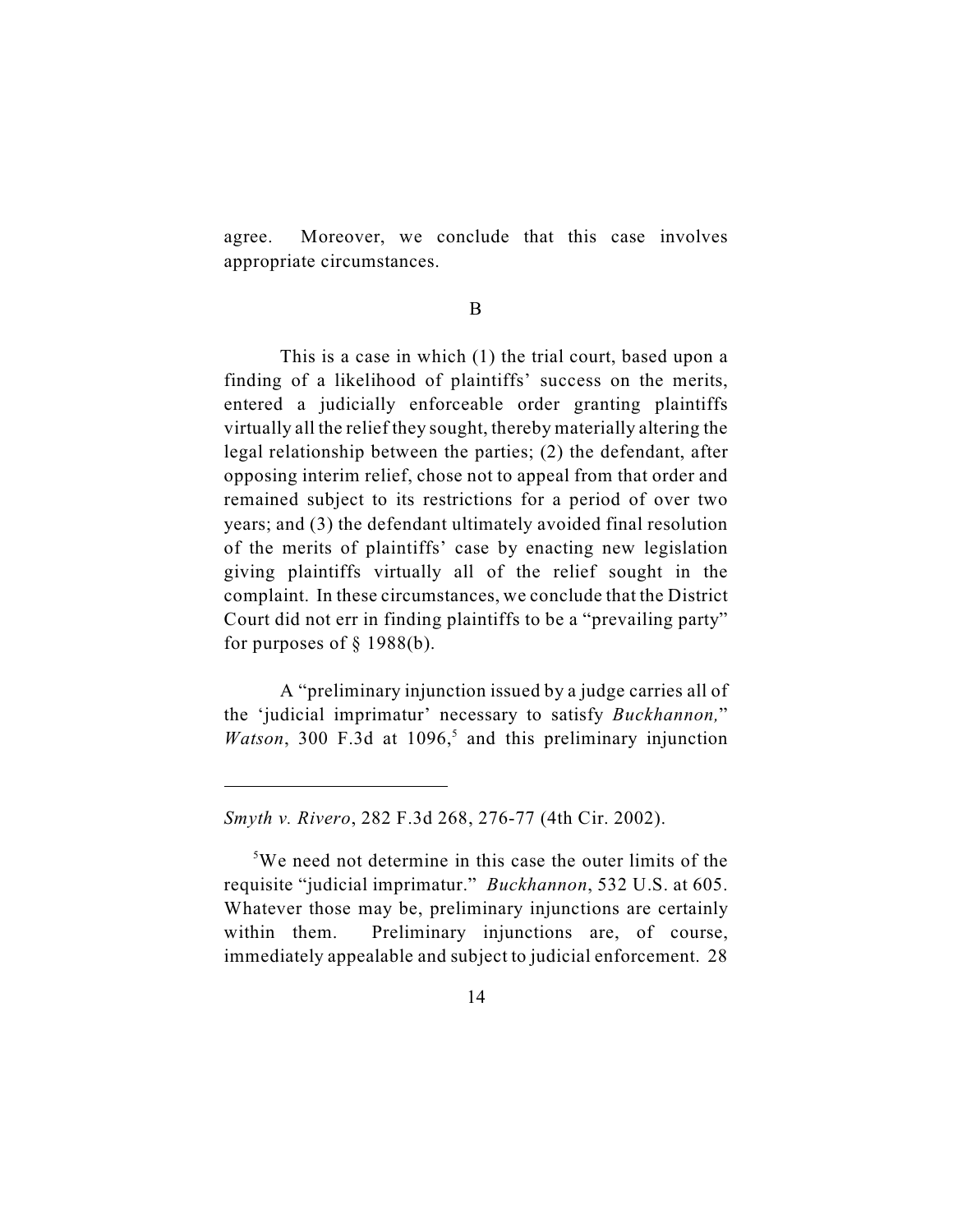agree. Moreover, we conclude that this case involves appropriate circumstances.

B

This is a case in which (1) the trial court, based upon a finding of a likelihood of plaintiffs' success on the merits, entered a judicially enforceable order granting plaintiffs virtually all the relief they sought, thereby materially altering the legal relationship between the parties; (2) the defendant, after opposing interim relief, chose not to appeal from that order and remained subject to its restrictions for a period of over two years; and (3) the defendant ultimately avoided final resolution of the merits of plaintiffs' case by enacting new legislation giving plaintiffs virtually all of the relief sought in the complaint. In these circumstances, we conclude that the District Court did not err in finding plaintiffs to be a "prevailing party" for purposes of  $\S$  1988(b).

A "preliminary injunction issued by a judge carries all of the 'judicial imprimatur' necessary to satisfy *Buckhannon,*" *Watson*, 300 F.3d at  $1096<sup>5</sup>$  and this preliminary injunction

*Smyth v. Rivero*, 282 F.3d 268, 276-77 (4th Cir. 2002).

 $5W$ e need not determine in this case the outer limits of the requisite "judicial imprimatur." *Buckhannon*, 532 U.S. at 605. Whatever those may be, preliminary injunctions are certainly within them. Preliminary injunctions are, of course, immediately appealable and subject to judicial enforcement. 28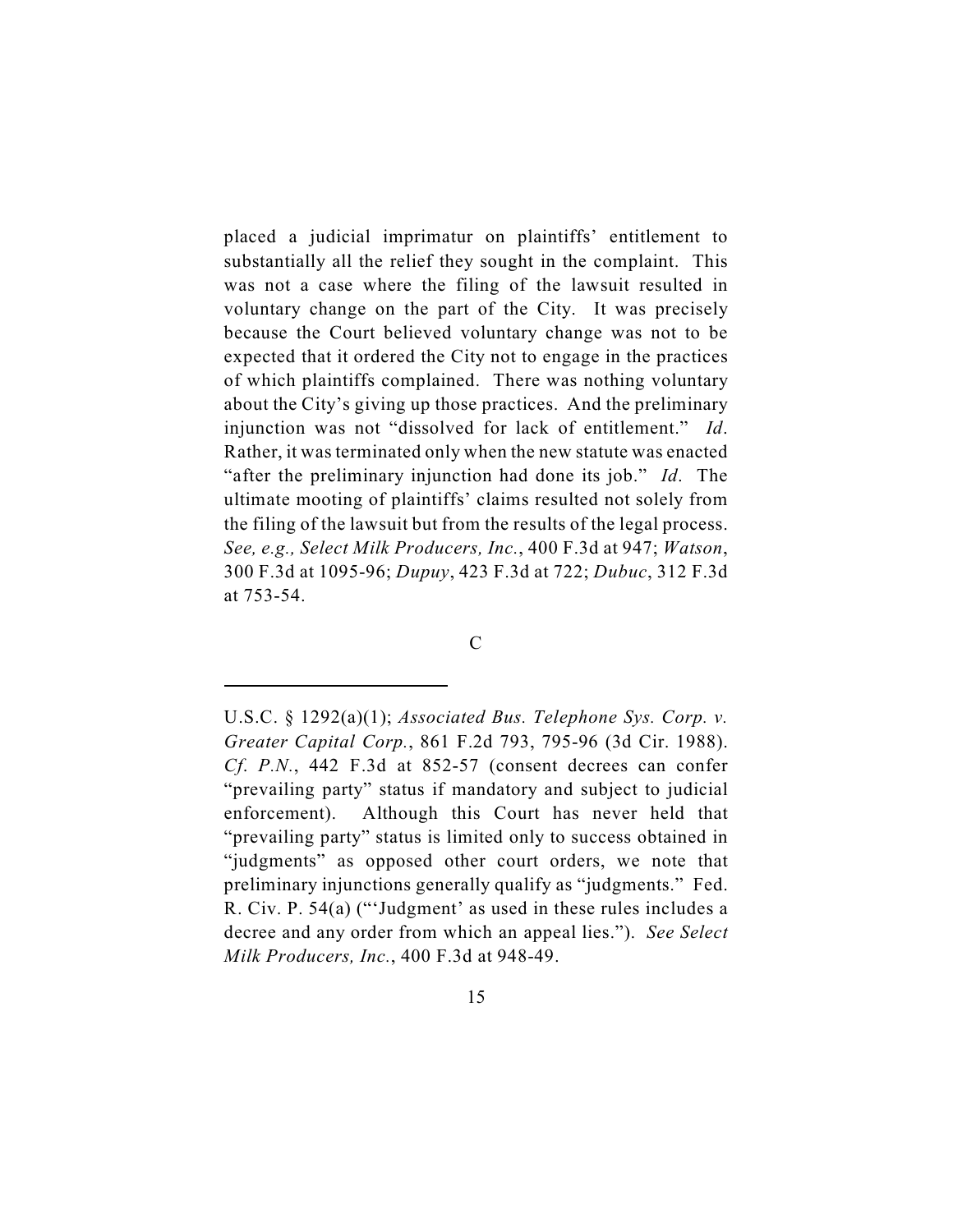placed a judicial imprimatur on plaintiffs' entitlement to substantially all the relief they sought in the complaint. This was not a case where the filing of the lawsuit resulted in voluntary change on the part of the City. It was precisely because the Court believed voluntary change was not to be expected that it ordered the City not to engage in the practices of which plaintiffs complained. There was nothing voluntary about the City's giving up those practices. And the preliminary injunction was not "dissolved for lack of entitlement." *Id*. Rather, it was terminated only when the new statute was enacted "after the preliminary injunction had done its job." *Id*. The ultimate mooting of plaintiffs' claims resulted not solely from the filing of the lawsuit but from the results of the legal process. *See, e.g., Select Milk Producers, Inc.*, 400 F.3d at 947; *Watson*, 300 F.3d at 1095-96; *Dupuy*, 423 F.3d at 722; *Dubuc*, 312 F.3d at 753-54.

C

U.S.C. § 1292(a)(1); *Associated Bus. Telephone Sys. Corp. v. Greater Capital Corp.*, 861 F.2d 793, 795-96 (3d Cir. 1988). *Cf*. *P.N.*, 442 F.3d at 852-57 (consent decrees can confer "prevailing party" status if mandatory and subject to judicial enforcement). Although this Court has never held that "prevailing party" status is limited only to success obtained in "judgments" as opposed other court orders, we note that preliminary injunctions generally qualify as "judgments." Fed. R. Civ. P. 54(a) ("'Judgment' as used in these rules includes a decree and any order from which an appeal lies."). *See Select Milk Producers, Inc.*, 400 F.3d at 948-49.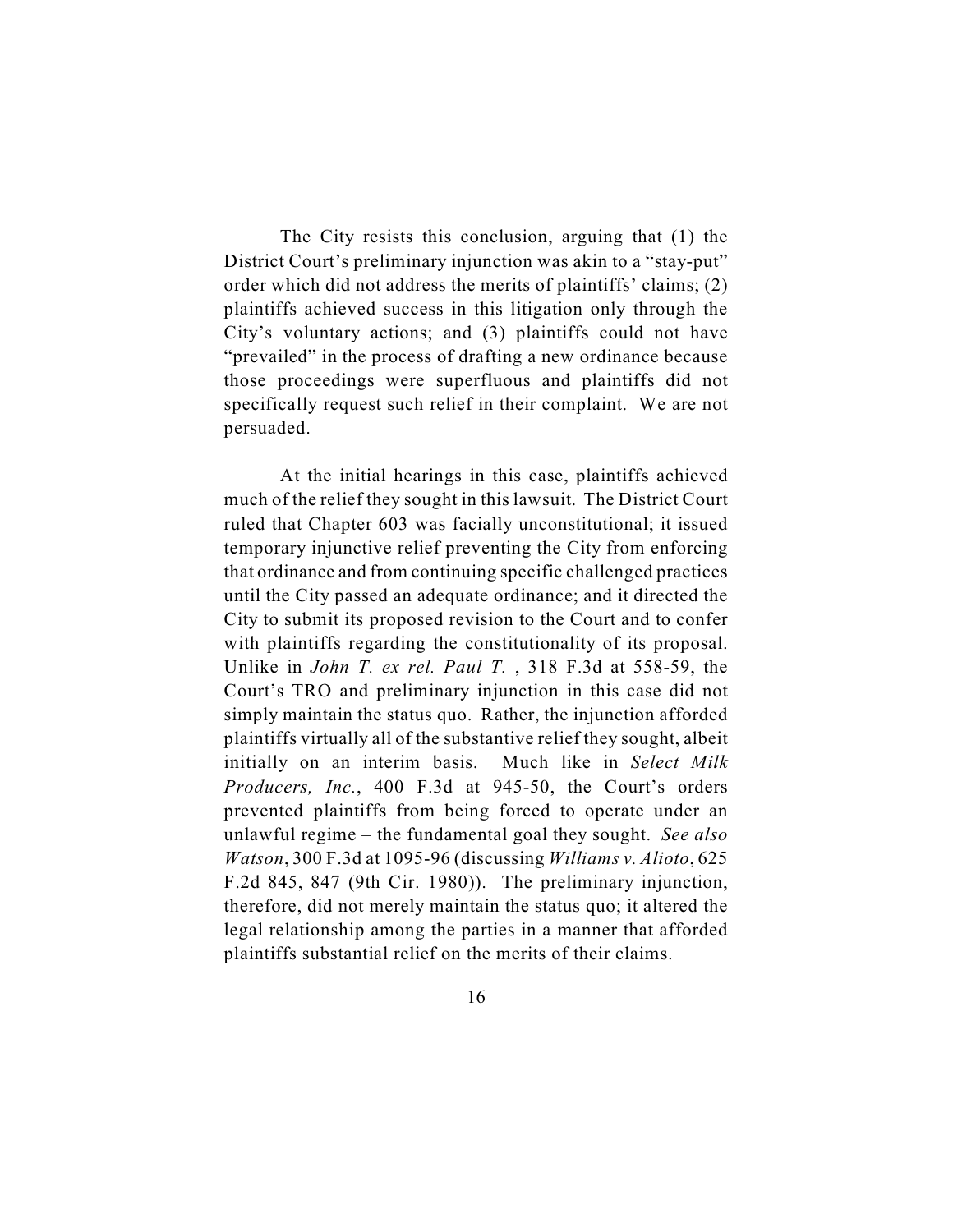The City resists this conclusion, arguing that (1) the District Court's preliminary injunction was akin to a "stay-put" order which did not address the merits of plaintiffs' claims; (2) plaintiffs achieved success in this litigation only through the City's voluntary actions; and (3) plaintiffs could not have "prevailed" in the process of drafting a new ordinance because those proceedings were superfluous and plaintiffs did not specifically request such relief in their complaint. We are not persuaded.

At the initial hearings in this case, plaintiffs achieved much of the relief they sought in this lawsuit. The District Court ruled that Chapter 603 was facially unconstitutional; it issued temporary injunctive relief preventing the City from enforcing that ordinance and from continuing specific challenged practices until the City passed an adequate ordinance; and it directed the City to submit its proposed revision to the Court and to confer with plaintiffs regarding the constitutionality of its proposal. Unlike in *John T. ex rel. Paul T.* , 318 F.3d at 558-59, the Court's TRO and preliminary injunction in this case did not simply maintain the status quo. Rather, the injunction afforded plaintiffs virtually all of the substantive relief they sought, albeit initially on an interim basis. Much like in *Select Milk Producers, Inc.*, 400 F.3d at 945-50, the Court's orders prevented plaintiffs from being forced to operate under an unlawful regime – the fundamental goal they sought. *See also Watson*, 300 F.3d at 1095-96 (discussing *Williams v. Alioto*, 625 F.2d 845, 847 (9th Cir. 1980)). The preliminary injunction, therefore, did not merely maintain the status quo; it altered the legal relationship among the parties in a manner that afforded plaintiffs substantial relief on the merits of their claims.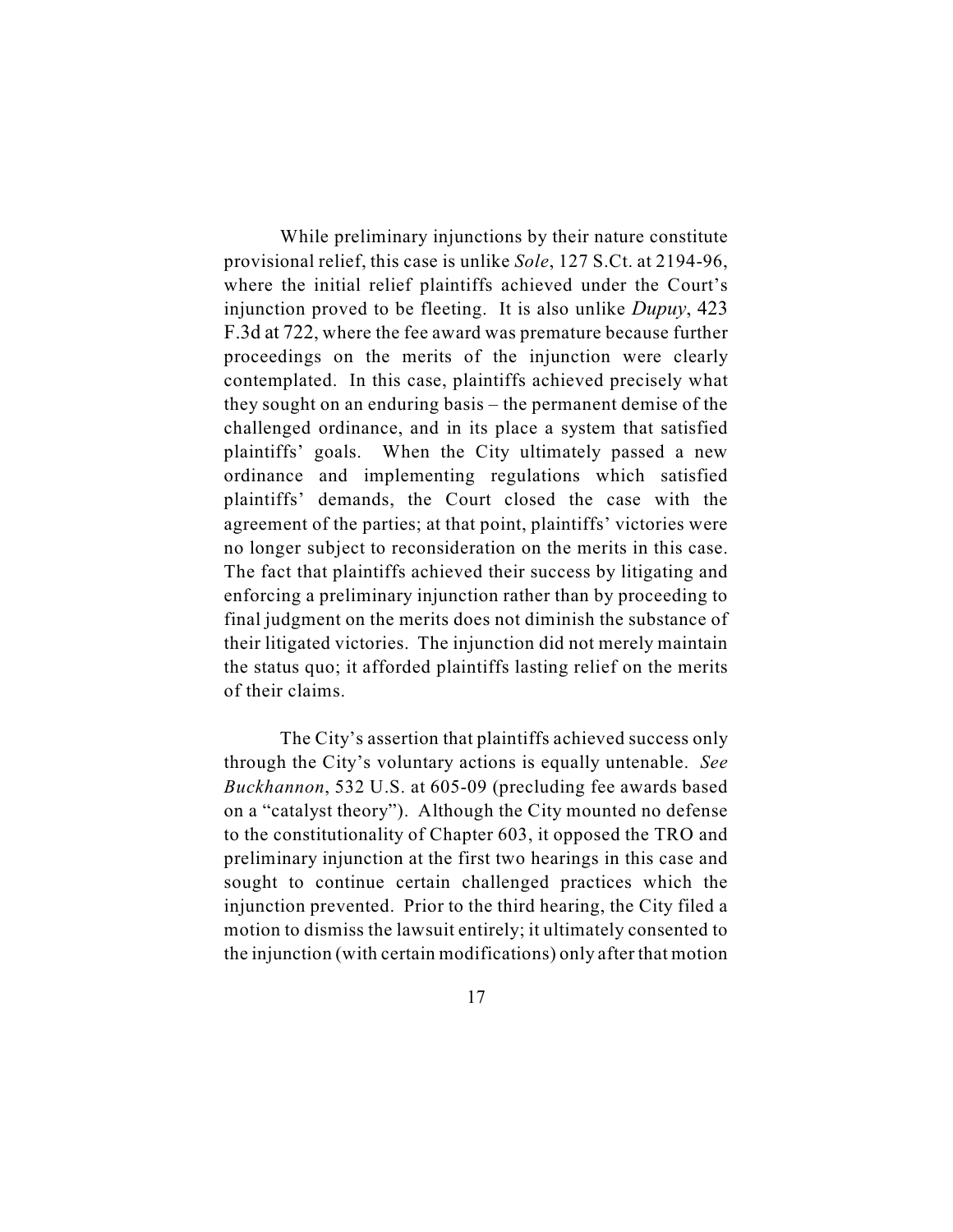While preliminary injunctions by their nature constitute provisional relief, this case is unlike *Sole*, 127 S.Ct. at 2194-96, where the initial relief plaintiffs achieved under the Court's injunction proved to be fleeting. It is also unlike *Dupuy*, 423 F.3d at 722, where the fee award was premature because further proceedings on the merits of the injunction were clearly contemplated. In this case, plaintiffs achieved precisely what they sought on an enduring basis – the permanent demise of the challenged ordinance, and in its place a system that satisfied plaintiffs' goals. When the City ultimately passed a new ordinance and implementing regulations which satisfied plaintiffs' demands, the Court closed the case with the agreement of the parties; at that point, plaintiffs' victories were no longer subject to reconsideration on the merits in this case. The fact that plaintiffs achieved their success by litigating and enforcing a preliminary injunction rather than by proceeding to final judgment on the merits does not diminish the substance of their litigated victories. The injunction did not merely maintain the status quo; it afforded plaintiffs lasting relief on the merits of their claims.

The City's assertion that plaintiffs achieved success only through the City's voluntary actions is equally untenable. *See Buckhannon*, 532 U.S. at 605-09 (precluding fee awards based on a "catalyst theory"). Although the City mounted no defense to the constitutionality of Chapter 603, it opposed the TRO and preliminary injunction at the first two hearings in this case and sought to continue certain challenged practices which the injunction prevented. Prior to the third hearing, the City filed a motion to dismiss the lawsuit entirely; it ultimately consented to the injunction (with certain modifications) only after that motion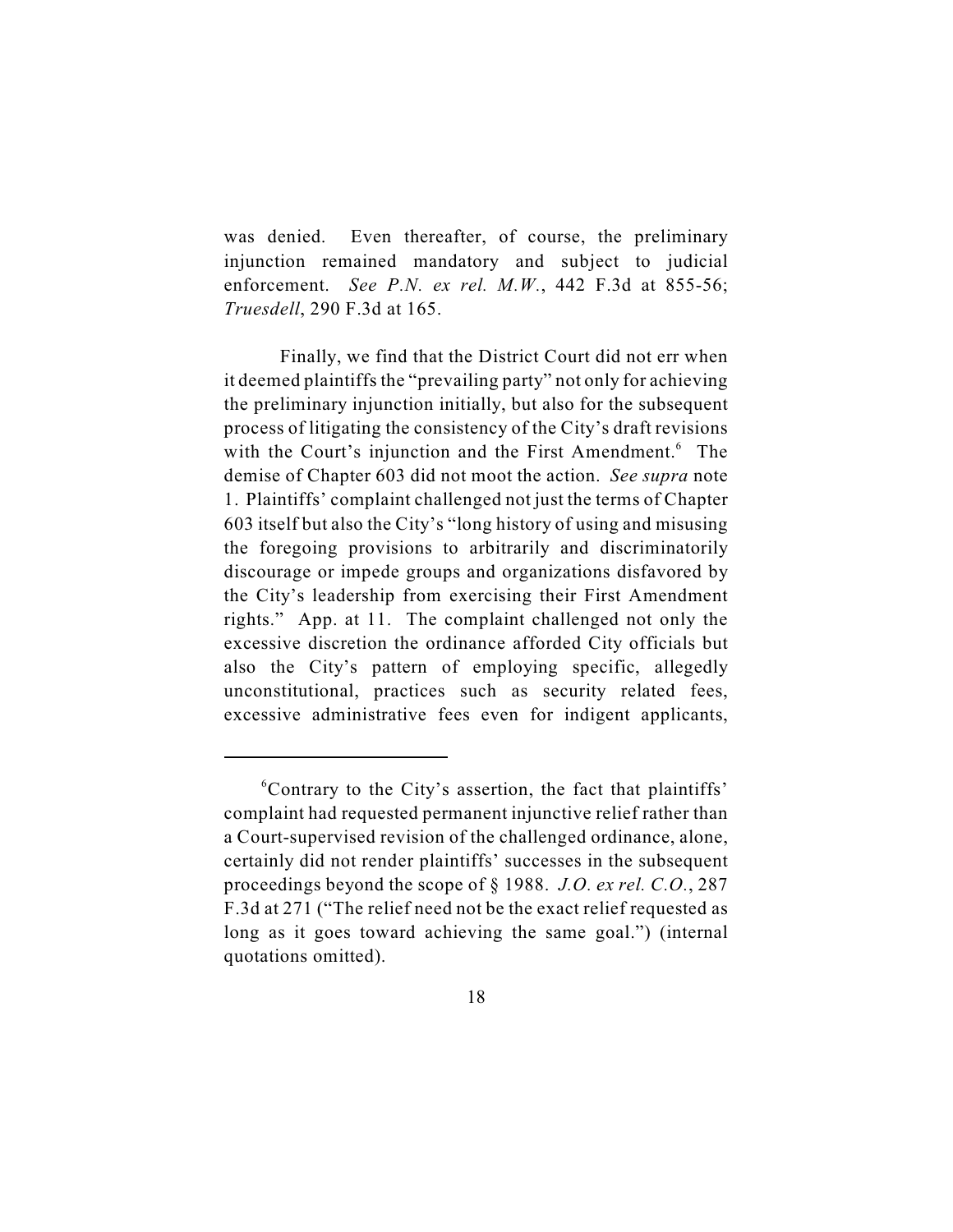was denied. Even thereafter, of course, the preliminary injunction remained mandatory and subject to judicial enforcement. *See P.N. ex rel. M.W.*, 442 F.3d at 855-56; *Truesdell*, 290 F.3d at 165.

Finally, we find that the District Court did not err when it deemed plaintiffs the "prevailing party" not only for achieving the preliminary injunction initially, but also for the subsequent process of litigating the consistency of the City's draft revisions with the Court's injunction and the First Amendment.<sup>6</sup> The demise of Chapter 603 did not moot the action. *See supra* note 1. Plaintiffs' complaint challenged not just the terms of Chapter 603 itself but also the City's "long history of using and misusing the foregoing provisions to arbitrarily and discriminatorily discourage or impede groups and organizations disfavored by the City's leadership from exercising their First Amendment rights." App. at 11. The complaint challenged not only the excessive discretion the ordinance afforded City officials but also the City's pattern of employing specific, allegedly unconstitutional, practices such as security related fees, excessive administrative fees even for indigent applicants,

 $\sigma$ <sup>6</sup>Contrary to the City's assertion, the fact that plaintiffs' complaint had requested permanent injunctive relief rather than a Court-supervised revision of the challenged ordinance, alone, certainly did not render plaintiffs' successes in the subsequent proceedings beyond the scope of § 1988. *J.O. ex rel. C.O.*, 287 F.3d at 271 ("The relief need not be the exact relief requested as long as it goes toward achieving the same goal.") (internal quotations omitted).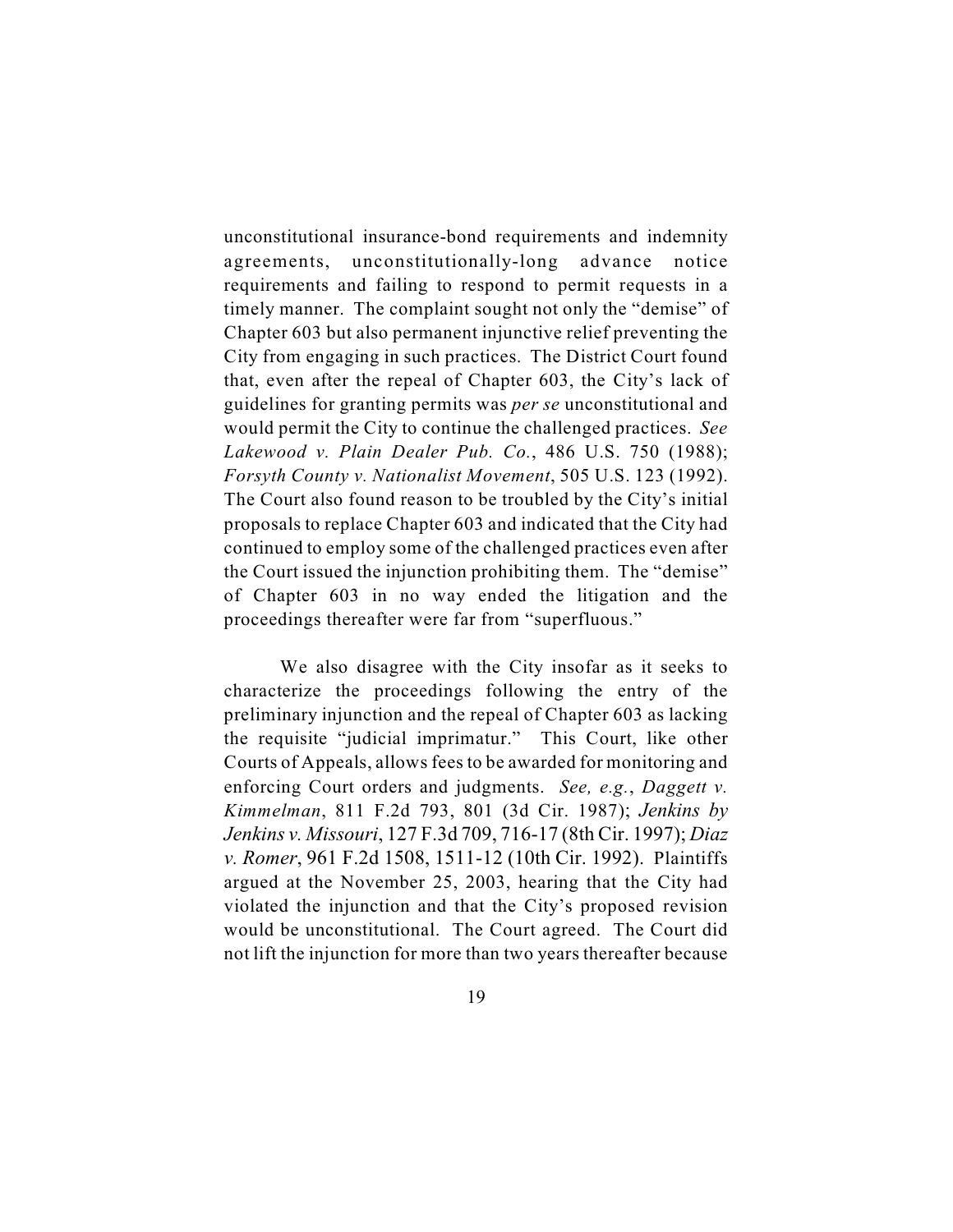unconstitutional insurance-bond requirements and indemnity agreements, unconstitutionally-long advance notice requirements and failing to respond to permit requests in a timely manner. The complaint sought not only the "demise" of Chapter 603 but also permanent injunctive relief preventing the City from engaging in such practices. The District Court found that, even after the repeal of Chapter 603, the City's lack of guidelines for granting permits was *per se* unconstitutional and would permit the City to continue the challenged practices. *See Lakewood v. Plain Dealer Pub. Co.*, 486 U.S. 750 (1988); *Forsyth County v. Nationalist Movement*, 505 U.S. 123 (1992). The Court also found reason to be troubled by the City's initial proposals to replace Chapter 603 and indicated that the City had continued to employ some of the challenged practices even after the Court issued the injunction prohibiting them. The "demise" of Chapter 603 in no way ended the litigation and the proceedings thereafter were far from "superfluous."

We also disagree with the City insofar as it seeks to characterize the proceedings following the entry of the preliminary injunction and the repeal of Chapter 603 as lacking the requisite "judicial imprimatur." This Court, like other Courts of Appeals, allows fees to be awarded for monitoring and enforcing Court orders and judgments. *See, e.g.*, *Daggett v. Kimmelman*, 811 F.2d 793, 801 (3d Cir. 1987); *Jenkins by Jenkins v. Missouri*, 127 F.3d 709, 716-17 (8th Cir. 1997); *Diaz v. Romer*, 961 F.2d 1508, 1511-12 (10th Cir. 1992). Plaintiffs argued at the November 25, 2003, hearing that the City had violated the injunction and that the City's proposed revision would be unconstitutional. The Court agreed. The Court did not lift the injunction for more than two years thereafter because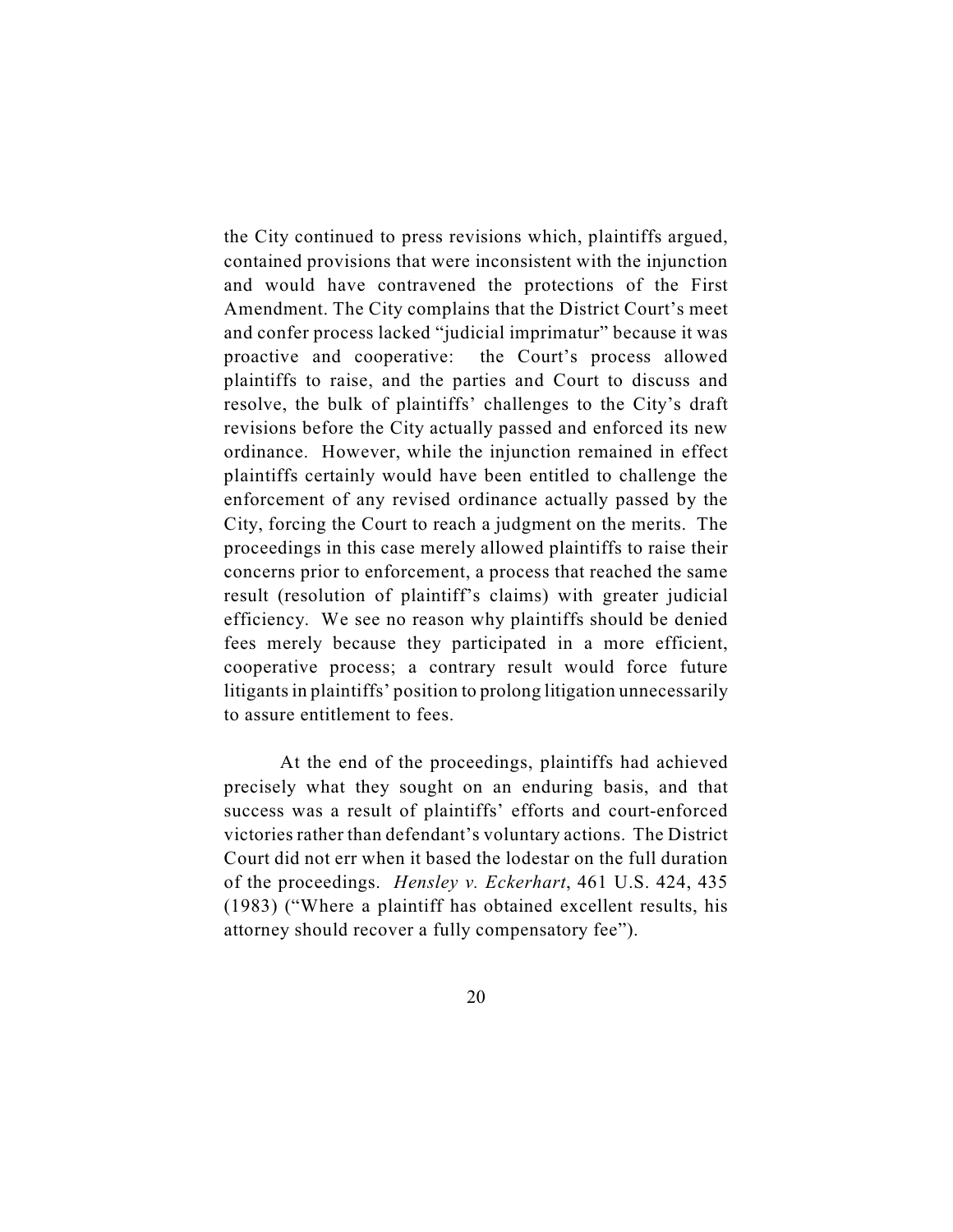the City continued to press revisions which, plaintiffs argued, contained provisions that were inconsistent with the injunction and would have contravened the protections of the First Amendment. The City complains that the District Court's meet and confer process lacked "judicial imprimatur" because it was proactive and cooperative: the Court's process allowed plaintiffs to raise, and the parties and Court to discuss and resolve, the bulk of plaintiffs' challenges to the City's draft revisions before the City actually passed and enforced its new ordinance. However, while the injunction remained in effect plaintiffs certainly would have been entitled to challenge the enforcement of any revised ordinance actually passed by the City, forcing the Court to reach a judgment on the merits. The proceedings in this case merely allowed plaintiffs to raise their concerns prior to enforcement, a process that reached the same result (resolution of plaintiff's claims) with greater judicial efficiency. We see no reason why plaintiffs should be denied fees merely because they participated in a more efficient, cooperative process; a contrary result would force future litigants in plaintiffs' position to prolong litigation unnecessarily to assure entitlement to fees.

At the end of the proceedings, plaintiffs had achieved precisely what they sought on an enduring basis, and that success was a result of plaintiffs' efforts and court-enforced victories rather than defendant's voluntary actions. The District Court did not err when it based the lodestar on the full duration of the proceedings. *Hensley v. Eckerhart*, 461 U.S. 424, 435 (1983) ("Where a plaintiff has obtained excellent results, his attorney should recover a fully compensatory fee").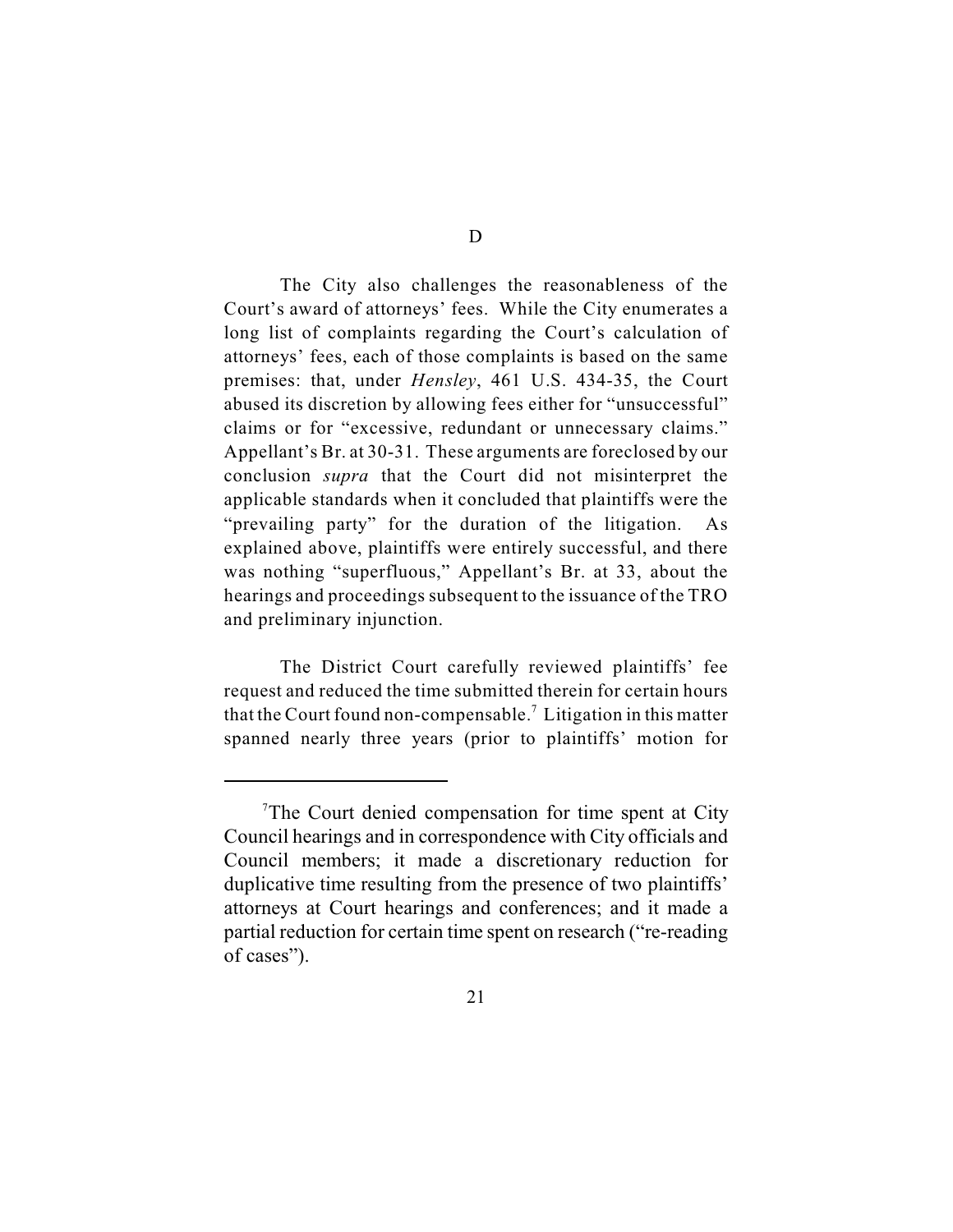The City also challenges the reasonableness of the Court's award of attorneys' fees. While the City enumerates a long list of complaints regarding the Court's calculation of attorneys' fees, each of those complaints is based on the same premises: that, under *Hensley*, 461 U.S. 434-35, the Court abused its discretion by allowing fees either for "unsuccessful" claims or for "excessive, redundant or unnecessary claims." Appellant's Br. at 30-31. These arguments are foreclosed by our conclusion *supra* that the Court did not misinterpret the applicable standards when it concluded that plaintiffs were the "prevailing party" for the duration of the litigation. As explained above, plaintiffs were entirely successful, and there was nothing "superfluous," Appellant's Br. at 33, about the hearings and proceedings subsequent to the issuance of the TRO and preliminary injunction.

The District Court carefully reviewed plaintiffs' fee request and reduced the time submitted therein for certain hours that the Court found non-compensable.<sup>7</sup> Litigation in this matter spanned nearly three years (prior to plaintiffs' motion for

<sup>&</sup>lt;sup>7</sup>The Court denied compensation for time spent at City Council hearings and in correspondence with City officials and Council members; it made a discretionary reduction for duplicative time resulting from the presence of two plaintiffs' attorneys at Court hearings and conferences; and it made a partial reduction for certain time spent on research ("re-reading of cases").